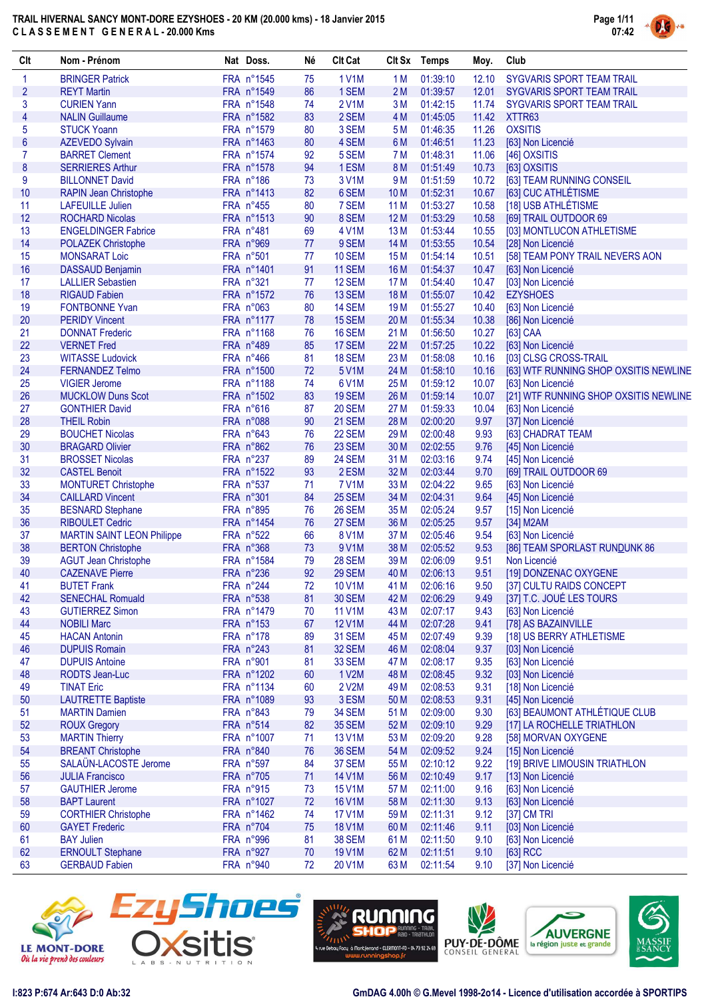

| Clt                     | Nom - Prénom                                    | Nat Doss.                | Né       | <b>Clt Cat</b>                 |                 | Clt Sx Temps         | Moy.           | Club                                  |
|-------------------------|-------------------------------------------------|--------------------------|----------|--------------------------------|-----------------|----------------------|----------------|---------------------------------------|
| $\mathbf{1}$            | <b>BRINGER Patrick</b>                          | FRA n°1545               | 75       | 1 V1M                          | 1 M             | 01:39:10             | 12.10          | SYGVARIS SPORT TEAM TRAIL             |
| $\overline{2}$          | <b>REYT Martin</b>                              | FRA n°1549               | 86       | 1 SEM                          | 2M              | 01:39:57             | 12.01          | SYGVARIS SPORT TEAM TRAIL             |
| 3                       | <b>CURIEN Yann</b>                              | FRA n°1548               | 74       | <b>2V1M</b>                    | 3M              | 01:42:15             | 11.74          | SYGVARIS SPORT TEAM TRAIL             |
| $\overline{\mathbf{4}}$ | <b>NALIN Guillaume</b>                          | FRA n°1582               | 83       | 2 SEM                          | 4 M             | 01:45:05             | 11.42          | XTTR63                                |
| 5                       | <b>STUCK Yoann</b>                              | FRA n°1579               | 80       | 3 SEM                          | 5 M             | 01:46:35             | 11.26          | <b>OXSITIS</b>                        |
| $\boldsymbol{6}$        | <b>AZEVEDO Sylvain</b>                          | FRA n°1463               | 80       | 4 SEM                          | 6 M             | 01:46:51             | 11.23          | [63] Non Licencié                     |
| 7                       | <b>BARRET Clement</b>                           | FRA n°1574               | 92       | 5 SEM                          | 7M              | 01:48:31             | 11.06          | [46] OXSITIS                          |
| 8                       | <b>SERRIERES Arthur</b>                         | FRA n°1578               | 94       | 1ESM                           | 8 M             | 01:51:49             | 10.73          | [63] OXSITIS                          |
| 9                       | <b>BILLONNET David</b>                          | FRA n°186                | 73       | 3 V1M                          | 9 M             | 01:51:59             | 10.72          | [63] TEAM RUNNING CONSEIL             |
| 10                      | <b>RAPIN Jean Christophe</b>                    | FRA n°1413               | 82       | 6 SEM                          | 10 <sub>M</sub> | 01:52:31             | 10.67          | [63] CUC ATHLÉTISME                   |
| 11                      | <b>LAFEUILLE Julien</b>                         | FRA n°455                | 80       | 7 SEM                          | 11M             | 01:53:27             | 10.58          | [18] USB ATHLÉTISME                   |
| 12                      | <b>ROCHARD Nicolas</b>                          | FRA n°1513               | 90       | 8 SEM                          | 12M             | 01:53:29             | 10.58          | [69] TRAIL OUTDOOR 69                 |
| 13                      | <b>ENGELDINGER Fabrice</b>                      | FRA n°481                | 69       | 4 V1M                          | 13 M            | 01:53:44             | 10.55          | [03] MONTLUCON ATHLETISME             |
| 14                      | <b>POLAZEK Christophe</b>                       | FRA n°969                | 77       | 9 SEM                          | 14 M            | 01:53:55             | 10.54          | [28] Non Licencié                     |
| 15                      | <b>MONSARAT Loic</b>                            | FRA n°501                | 77       | <b>10 SEM</b>                  | 15 M            | 01:54:14             | 10.51          | [58] TEAM PONY TRAIL NEVERS AON       |
| 16                      | <b>DASSAUD Benjamin</b>                         | FRA n°1401               | 91       | 11 SEM                         | 16 M            | 01:54:37             | 10.47          | [63] Non Licencié                     |
| 17                      | <b>LALLIER Sebastien</b>                        | FRA n°321                | 77       | 12 SEM                         | 17 M            | 01:54:40             | 10.47          | [03] Non Licencié                     |
| 18                      | <b>RIGAUD Fabien</b>                            | FRA n°1572               | 76<br>80 | 13 SEM                         | 18 M            | 01:55:07             | 10.42          | <b>EZYSHOES</b>                       |
| 19<br>20                | <b>FONTBONNE Yvan</b>                           | FRA n°063                |          | <b>14 SEM</b>                  | 19 <sub>M</sub> | 01:55:27             | 10.40          | [63] Non Licencié                     |
| 21                      | <b>PERIDY Vincent</b><br><b>DONNAT Frederic</b> | FRA n°1177<br>FRA n°1168 | 78<br>76 | <b>15 SEM</b><br><b>16 SEM</b> | 20 M<br>21 M    | 01:55:34<br>01:56:50 | 10.38<br>10.27 | [86] Non Licencié                     |
| 22                      | <b>VERNET Fred</b>                              | FRA n°489                | 85       | 17 SEM                         | 22 M            | 01:57:25             | 10.22          | [63] CAA<br>[63] Non Licencié         |
| 23                      | <b>WITASSE Ludovick</b>                         | FRA n°466                | 81       | 18 SEM                         | 23 M            | 01:58:08             | 10.16          | [03] CLSG CROSS-TRAIL                 |
| 24                      | <b>FERNANDEZ Telmo</b>                          | FRA n°1500               | 72       | 5 V1M                          | 24 M            | 01:58:10             | 10.16          | [63] WTF RUNNING SHOP OXSITIS NEWLINE |
| 25                      | <b>VIGIER Jerome</b>                            | FRA n°1188               | 74       | 6 V1M                          | 25 M            | 01:59:12             | 10.07          | [63] Non Licencié                     |
| 26                      | <b>MUCKLOW Duns Scot</b>                        | FRA n°1502               | 83       | 19 SEM                         | 26 M            | 01:59:14             | 10.07          | [21] WTF RUNNING SHOP OXSITIS NEWLINE |
| 27                      | <b>GONTHIER David</b>                           | FRA n°616                | 87       | <b>20 SEM</b>                  | 27 M            | 01:59:33             | 10.04          | [63] Non Licencié                     |
| 28                      | <b>THEIL Robin</b>                              | FRA n°088                | 90       | <b>21 SEM</b>                  | 28 M            | 02:00:20             | 9.97           | [37] Non Licencié                     |
| 29                      | <b>BOUCHET Nicolas</b>                          | FRA n°643                | 76       | 22 SEM                         | 29 M            | 02:00:48             | 9.93           | [63] CHADRAT TEAM                     |
| 30                      | <b>BRAGARD Olivier</b>                          | FRA n°862                | 76       | 23 SEM                         | 30 M            | 02:02:55             | 9.76           | [45] Non Licencié                     |
| 31                      | <b>BROSSET Nicolas</b>                          | FRA n°237                | 89       | <b>24 SEM</b>                  | 31 M            | 02:03:16             | 9.74           | [45] Non Licencié                     |
| 32                      | <b>CASTEL Benoit</b>                            | FRA n°1522               | 93       | 2 ESM                          | 32 M            | 02:03:44             | 9.70           | [69] TRAIL OUTDOOR 69                 |
| 33                      | <b>MONTURET Christophe</b>                      | FRA n°537                | 71       | 7 V1M                          | 33 M            | 02:04:22             | 9.65           | [63] Non Licencié                     |
| 34                      | <b>CAILLARD Vincent</b>                         | FRA n°301                | 84       | 25 SEM                         | 34 M            | 02:04:31             | 9.64           | [45] Non Licencié                     |
| 35                      | <b>BESNARD Stephane</b>                         | FRA n°895                | 76       | 26 SEM                         | 35 M            | 02:05:24             | 9.57           | [15] Non Licencié                     |
| 36                      | <b>RIBOULET Cedric</b>                          | FRA n°1454               | 76       | 27 SEM                         | 36 M            | 02:05:25             | 9.57           | [34] M2AM                             |
| 37                      | <b>MARTIN SAINT LEON Philippe</b>               | FRA n°522                | 66       | 8 V1M                          | 37 M            | 02:05:46             | 9.54           | [63] Non Licencié                     |
| 38                      | <b>BERTON Christophe</b>                        | FRA n°368                | 73       | 9 V1M                          | 38 M            | 02:05:52             | 9.53           | [86] TEAM SPORLAST RUNDUNK 86         |
| 39                      | <b>AGUT Jean Christophe</b>                     | FRA n°1584               | 79       | <b>28 SEM</b>                  | 39 M            | 02:06:09             | 9.51           | Non Licencié                          |
| 40                      | <b>CAZENAVE Pierre</b>                          | FRA n°236                | 92       | <b>29 SEM</b>                  | 40 M            | 02:06:13             | 9.51           | [19] DONZENAC OXYGENE                 |
| 41                      | <b>BUTET Frank</b>                              | FRA n°244                | 72       | 10 V1M                         | 41 M            | 02:06:16             | 9.50           | [37] CULTU RAIDS CONCEPT              |
| 42                      | <b>SENECHAL Romuald</b>                         | FRA n°538                | 81       | <b>30 SEM</b>                  | 42 M            | 02:06:29             | 9.49           | [37] T.C. JOUÉ LES TOURS              |
| 43                      | <b>GUTIERREZ Simon</b>                          | FRA n°1479               | 70       | <b>11 V1M</b>                  | 43 M            | 02:07:17             | 9.43           | [63] Non Licencié                     |
| 44                      | <b>NOBILI Marc</b>                              | FRA n°153                | 67       | 12 V1M                         | 44 M            | 02:07:28             | 9.41           | [78] AS BAZAINVILLE                   |
| 45                      | <b>HACAN Antonin</b>                            | FRA n°178                | 89       | <b>31 SEM</b>                  | 45 M            | 02:07:49             | 9.39           | [18] US BERRY ATHLETISME              |
| 46                      | <b>DUPUIS Romain</b>                            | FRA n°243                | 81       | 32 SEM                         | 46 M            | 02:08:04             | 9.37           | [03] Non Licencié                     |
| 47                      | <b>DUPUIS Antoine</b>                           | FRA n°901                | 81       | 33 SEM                         | 47 M            | 02:08:17             | 9.35           | [63] Non Licencié                     |
| 48                      | RODTS Jean-Luc                                  | FRA n°1202               | 60       | 1 V2M                          | 48 M            | 02:08:45             | 9.32           | [03] Non Licencié                     |
| 49                      | <b>TINAT Eric</b>                               | FRA n°1134               | 60       | 2 V2M                          | 49 M            | 02:08:53             | 9.31           | [18] Non Licencié                     |
| 50                      | <b>LAUTRETTE Baptiste</b>                       | FRA n°1089               | 93       | 3 ESM                          | 50 M            | 02:08:53             | 9.31           | [45] Non Licencié                     |
| 51                      | <b>MARTIN Damien</b>                            | FRA n°843                | 79       | 34 SEM                         | 51 M            | 02:09:00             | 9.30           | [63] BEAUMONT ATHLÉTIQUE CLUB         |
| 52                      | <b>ROUX Gregory</b>                             | FRA n°514                | 82       | <b>35 SEM</b>                  | 52 M            | 02:09:10             | 9.29           | [17] LA ROCHELLE TRIATHLON            |
| 53                      | <b>MARTIN Thierry</b>                           | FRA n°1007               | 71       | <b>13 V1M</b>                  | 53 M            | 02:09:20             | 9.28           | [58] MORVAN OXYGENE                   |
| 54                      | <b>BREANT Christophe</b>                        | FRA n°840                | 76       | <b>36 SEM</b>                  | 54 M            | 02:09:52             | 9.24           | [15] Non Licencié                     |
| 55                      | SALAÜN-LACOSTE Jerome                           | FRA n°597                | 84       | 37 SEM                         | 55 M            | 02:10:12             | 9.22           | [19] BRIVE LIMOUSIN TRIATHLON         |
| 56                      | <b>JULIA Francisco</b>                          | FRA n°705                | 71       | <b>14 V1M</b>                  | 56 M            | 02:10:49             | 9.17           | [13] Non Licencié                     |
| 57                      | <b>GAUTHIER Jerome</b>                          | FRA n°915                | 73       | <b>15 V1M</b>                  | 57 M            | 02:11:00             | 9.16           | [63] Non Licencié                     |
| 58                      | <b>BAPT Laurent</b>                             | FRA n°1027               | 72       | <b>16 V1M</b>                  | 58 M            | 02:11:30             | 9.13           | [63] Non Licencié                     |
| 59                      | <b>CORTHIER Christophe</b>                      | FRA n°1462               | 74       | 17 V1M                         | 59 M            | 02:11:31             | 9.12           | [37] CM TRI                           |
| 60                      | <b>GAYET Frederic</b>                           | FRA n°704                | 75       | <b>18 V1M</b>                  | 60 M            | 02:11:46             | 9.11           | [03] Non Licencié                     |
| 61<br>62                | <b>BAY Julien</b>                               | FRA n°996                | 81<br>70 | <b>38 SEM</b>                  | 61 M            | 02:11:50             | 9.10           | [63] Non Licencié                     |
| 63                      | <b>ERNOULT Stephane</b>                         | FRA n°927<br>FRA n°940   | 72       | <b>19 V1M</b><br>20 V1M        | 62 M<br>63 M    | 02:11:51<br>02:11:54 | 9.10           | [63] RCC<br>[37] Non Licencié         |
|                         | <b>GERBAUD Fabien</b>                           |                          |          |                                |                 |                      | 9.10           |                                       |









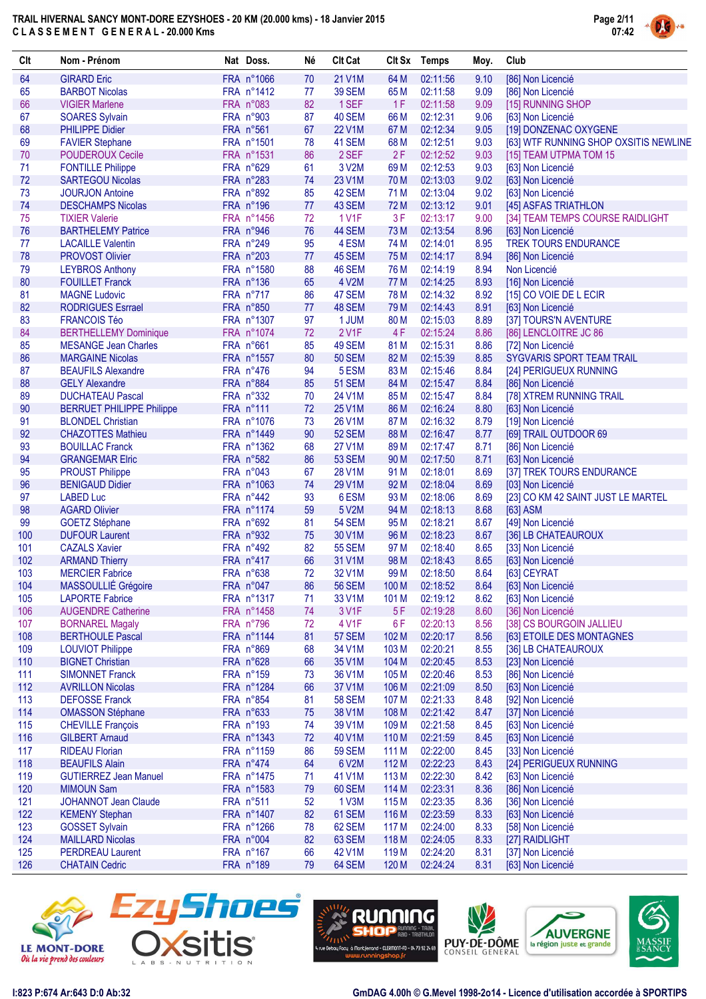

| Clt | Nom - Prénom                     | Nat Doss.  | Né | <b>Clt Cat</b> |                 | Clt Sx Temps | Moy. | Club                                        |
|-----|----------------------------------|------------|----|----------------|-----------------|--------------|------|---------------------------------------------|
| 64  | <b>GIRARD Eric</b>               | FRA n°1066 | 70 | 21 V1M         | 64 M            | 02:11:56     | 9.10 | [86] Non Licencié                           |
| 65  | <b>BARBOT Nicolas</b>            | FRA n°1412 | 77 | <b>39 SEM</b>  | 65 M            | 02:11:58     | 9.09 | [86] Non Licencié                           |
| 66  | <b>VIGIER Marlene</b>            | FRA n°083  | 82 | 1 SEF          | 1F              | 02:11:58     | 9.09 | [15] RUNNING SHOP                           |
| 67  | <b>SOARES Sylvain</b>            | FRA n°903  | 87 | 40 SEM         | 66 M            | 02:12:31     | 9.06 | [63] Non Licencié                           |
| 68  | <b>PHILIPPE Didier</b>           | FRA n°561  | 67 | 22 V1M         | 67 M            | 02:12:34     | 9.05 | [19] DONZENAC OXYGENE                       |
| 69  | <b>FAVIER Stephane</b>           | FRA n°1501 | 78 | 41 SEM         | 68 M            | 02:12:51     | 9.03 | [63] WTF RUNNING SHOP OXSITIS NEWLINE       |
| 70  | <b>POUDEROUX Cecile</b>          | FRA n°1531 | 86 | 2 SEF          | 2F              | 02:12:52     | 9.03 | [15] TEAM UTPMA TOM 15                      |
| 71  | <b>FONTILLE Philippe</b>         | FRA n°629  | 61 | 3 V2M          | 69 <sub>M</sub> | 02:12:53     | 9.03 | [63] Non Licencié                           |
| 72  | <b>SARTEGOU Nicolas</b>          | FRA n°283  | 74 | 23 V1M         | 70 M            | 02:13:03     | 9.02 | [63] Non Licencié                           |
| 73  | <b>JOURJON Antoine</b>           | FRA n°892  | 85 | 42 SEM         | 71 M            | 02:13:04     | 9.02 | [63] Non Licencié                           |
| 74  | <b>DESCHAMPS Nicolas</b>         | FRA n°196  | 77 | 43 SEM         | 72 M            | 02:13:12     | 9.01 | [45] ASFAS TRIATHLON                        |
| 75  | <b>TIXIER Valerie</b>            | FRA n°1456 | 72 | 1 V1F          | 3F              | 02:13:17     | 9.00 | [34] TEAM TEMPS COURSE RAIDLIGHT            |
| 76  | <b>BARTHELEMY Patrice</b>        | FRA n°946  | 76 | 44 SEM         | 73 M            | 02:13:54     | 8.96 | [63] Non Licencié                           |
| 77  | <b>LACAILLE Valentin</b>         | FRA n°249  | 95 | 4 ESM          | 74 M            | 02:14:01     | 8.95 | <b>TREK TOURS ENDURANCE</b>                 |
| 78  | <b>PROVOST Olivier</b>           | FRA n°203  | 77 | 45 SEM         | 75 M            | 02:14:17     | 8.94 | [86] Non Licencié                           |
| 79  | <b>LEYBROS Anthony</b>           | FRA n°1580 | 88 | 46 SEM         | 76 M            | 02:14:19     | 8.94 | Non Licencié                                |
| 80  | <b>FOUILLET Franck</b>           | FRA n°136  | 65 | 4 V2M          | 77 M            | 02:14:25     | 8.93 | [16] Non Licencié                           |
| 81  | <b>MAGNE Ludovic</b>             | FRA n°717  | 86 | 47 SEM         | 78 M            | 02:14:32     | 8.92 | [15] CO VOIE DE L ECIR                      |
| 82  | <b>RODRIGUES Esrrael</b>         | FRA n°850  | 77 | 48 SEM         | 79 M            | 02:14:43     | 8.91 | [63] Non Licencié                           |
| 83  | <b>FRANCOIS Téo</b>              | FRA n°1307 | 97 | 1 JUM          | 80 M            | 02:15:03     | 8.89 | [37] TOURS'N AVENTURE                       |
| 84  | <b>BERTHELLEMY Dominique</b>     | FRA n°1074 | 72 | 2 V1F          | 4F              | 02:15:24     | 8.86 | [86] LENCLOITRE JC 86                       |
| 85  | <b>MESANGE Jean Charles</b>      | FRA n°661  | 85 | 49 SEM         | 81 M            | 02:15:31     | 8.86 | [72] Non Licencié                           |
| 86  | <b>MARGAINE Nicolas</b>          | FRA n°1557 | 80 | <b>50 SEM</b>  | 82 M            | 02:15:39     | 8.85 | SYGVARIS SPORT TEAM TRAIL                   |
| 87  | <b>BEAUFILS Alexandre</b>        | FRA n°476  | 94 | 5 ESM          | 83 M            | 02:15:46     | 8.84 |                                             |
| 88  | <b>GELY Alexandre</b>            | FRA n°884  | 85 | <b>51 SEM</b>  | 84 M            | 02:15:47     | 8.84 | [24] PERIGUEUX RUNNING<br>[86] Non Licencié |
|     |                                  |            |    |                |                 |              |      |                                             |
| 89  | <b>DUCHATEAU Pascal</b>          | FRA n°332  | 70 | 24 V1M         | 85 M            | 02:15:47     | 8.84 | [78] XTREM RUNNING TRAIL                    |
| 90  | <b>BERRUET PHILIPPE Philippe</b> | FRA n°111  | 72 | 25 V1M         | 86 M            | 02:16:24     | 8.80 | [63] Non Licencié                           |
| 91  | <b>BLONDEL Christian</b>         | FRA n°1076 | 73 | 26 V1M         | 87 M            | 02:16:32     | 8.79 | [19] Non Licencié                           |
| 92  | <b>CHAZOTTES Mathieu</b>         | FRA n°1449 | 90 | <b>52 SEM</b>  | 88 M            | 02:16:47     | 8.77 | [69] TRAIL OUTDOOR 69                       |
| 93  | <b>BOUILLAC Franck</b>           | FRA n°1362 | 68 | <b>27 V1M</b>  | 89 M            | 02:17:47     | 8.71 | [86] Non Licencié                           |
| 94  | <b>GRANGEMAR Elric</b>           | FRA n°582  | 86 | <b>53 SEM</b>  | 90 M            | 02:17:50     | 8.71 | [63] Non Licencié                           |
| 95  | <b>PROUST Philippe</b>           | FRA n°043  | 67 | 28 V1M         | 91 M            | 02:18:01     | 8.69 | [37] TREK TOURS ENDURANCE                   |
| 96  | <b>BENIGAUD Didier</b>           | FRA n°1063 | 74 | 29 V1M         | 92 M            | 02:18:04     | 8.69 | [03] Non Licencié                           |
| 97  | <b>LABED Luc</b>                 | FRA n°442  | 93 | 6ESM           | 93 M            | 02:18:06     | 8.69 | [23] CO KM 42 SAINT JUST LE MARTEL          |
| 98  | <b>AGARD Olivier</b>             | FRA n°1174 | 59 | 5 V2M          | 94 M            | 02:18:13     | 8.68 | [63] ASM                                    |
| 99  | <b>GOETZ Stéphane</b>            | FRA n°692  | 81 | <b>54 SEM</b>  | 95 M            | 02:18:21     | 8.67 | [49] Non Licencié                           |
| 100 | <b>DUFOUR Laurent</b>            | FRA n°932  | 75 | 30 V1M         | 96 M            | 02:18:23     | 8.67 | [36] LB CHATEAUROUX                         |
| 101 | <b>CAZALS Xavier</b>             | FRA n°492  | 82 | <b>55 SEM</b>  | 97 M            | 02:18:40     | 8.65 | [33] Non Licencié                           |
| 102 | <b>ARMAND Thierry</b>            | FRA n°417  | 66 | 31 V1M         | 98 M            | 02:18:43     | 8.65 | [63] Non Licencié                           |
| 103 | <b>MERCIER Fabrice</b>           | FRA n°638  | 72 | 32 V1M         | 99 M            | 02:18:50     | 8.64 | [63] CEYRAT                                 |
| 104 | MASSOULLIÉ Grégoire              | FRA n°047  | 86 | <b>56 SEM</b>  | 100 M           | 02:18:52     | 8.64 | [63] Non Licencié                           |
| 105 | <b>LAPORTE Fabrice</b>           | FRA n°1317 | 71 | 33 V1M         | 101 M           | 02:19:12     | 8.62 | [63] Non Licencié                           |
| 106 | <b>AUGENDRE Catherine</b>        | FRA n°1458 | 74 | 3 V1F          | 5F              | 02:19:28     | 8.60 | [36] Non Licencié                           |
| 107 | <b>BORNAREL Magaly</b>           | FRA n°796  | 72 | 4 V1F          | 6F              | 02:20:13     | 8.56 | [38] CS BOURGOIN JALLIEU                    |
| 108 | <b>BERTHOULE Pascal</b>          | FRA n°1144 | 81 | <b>57 SEM</b>  | 102 M           | 02:20:17     | 8.56 | [63] ETOILE DES MONTAGNES                   |
| 109 | <b>LOUVIOT Philippe</b>          | FRA n°869  | 68 | 34 V1M         | 103 M           | 02:20:21     | 8.55 | [36] LB CHATEAUROUX                         |
| 110 | <b>BIGNET Christian</b>          | FRA n°628  | 66 | 35 V1M         | 104 M           | 02:20:45     | 8.53 | [23] Non Licencié                           |
| 111 | <b>SIMONNET Franck</b>           | FRA n°159  | 73 | 36 V1M         | 105 M           | 02:20:46     | 8.53 | [86] Non Licencié                           |
| 112 | <b>AVRILLON Nicolas</b>          | FRA n°1284 | 66 | 37 V1M         | 106 M           | 02:21:09     | 8.50 | [63] Non Licencié                           |
| 113 | <b>DEFOSSE Franck</b>            | FRA n°854  | 81 | <b>58 SEM</b>  | 107 M           | 02:21:33     | 8.48 | [92] Non Licencié                           |
| 114 | <b>OMASSON Stéphane</b>          | FRA n°633  | 75 | 38 V1M         | 108 M           | 02:21:42     | 8.47 | [37] Non Licencié                           |
| 115 | <b>CHEVILLE François</b>         | FRA n°193  | 74 | 39 V1M         | 109 M           | 02:21:58     | 8.45 | [63] Non Licencié                           |
| 116 | <b>GILBERT Arnaud</b>            | FRA n°1343 | 72 | 40 V1M         | 110 M           | 02:21:59     | 8.45 | [63] Non Licencié                           |
| 117 | <b>RIDEAU Florian</b>            | FRA n°1159 | 86 | <b>59 SEM</b>  | 111 M           | 02:22:00     | 8.45 | [33] Non Licencié                           |
| 118 | <b>BEAUFILS Alain</b>            | FRA n°474  | 64 | 6 V2M          | 112 M           | 02:22:23     | 8.43 | [24] PERIGUEUX RUNNING                      |
| 119 | <b>GUTIERREZ Jean Manuel</b>     | FRA n°1475 | 71 | 41 V1M         | 113M            | 02:22:30     | 8.42 | [63] Non Licencié                           |
| 120 | <b>MIMOUN Sam</b>                | FRA n°1583 | 79 | 60 SEM         | 114 M           | 02:23:31     | 8.36 | [86] Non Licencié                           |
| 121 | JOHANNOT Jean Claude             | FRA n°511  | 52 | 1 V3M          | 115M            | 02:23:35     | 8.36 | [36] Non Licencié                           |
| 122 | <b>KEMENY Stephan</b>            | FRA n°1407 | 82 | 61 SEM         | 116 M           | 02:23:59     | 8.33 | [63] Non Licencié                           |
| 123 | <b>GOSSET Sylvain</b>            | FRA n°1266 | 78 | 62 SEM         | 117 M           | 02:24:00     | 8.33 | [58] Non Licencié                           |
| 124 | <b>MAILLARD Nicolas</b>          | FRA n°004  | 82 | 63 SEM         | 118M            | 02:24:05     | 8.33 | [27] RAIDLIGHT                              |
| 125 | <b>PERDREAU Laurent</b>          | FRA n°167  | 66 | 42 V1M         | 119 M           | 02:24:20     | 8.31 | [37] Non Licencié                           |
| 126 | <b>CHATAIN Cedric</b>            | FRA n°189  | 79 | 64 SEM         | 120 M           | 02:24:24     | 8.31 | [63] Non Licencié                           |
|     |                                  |            |    |                |                 |              |      |                                             |









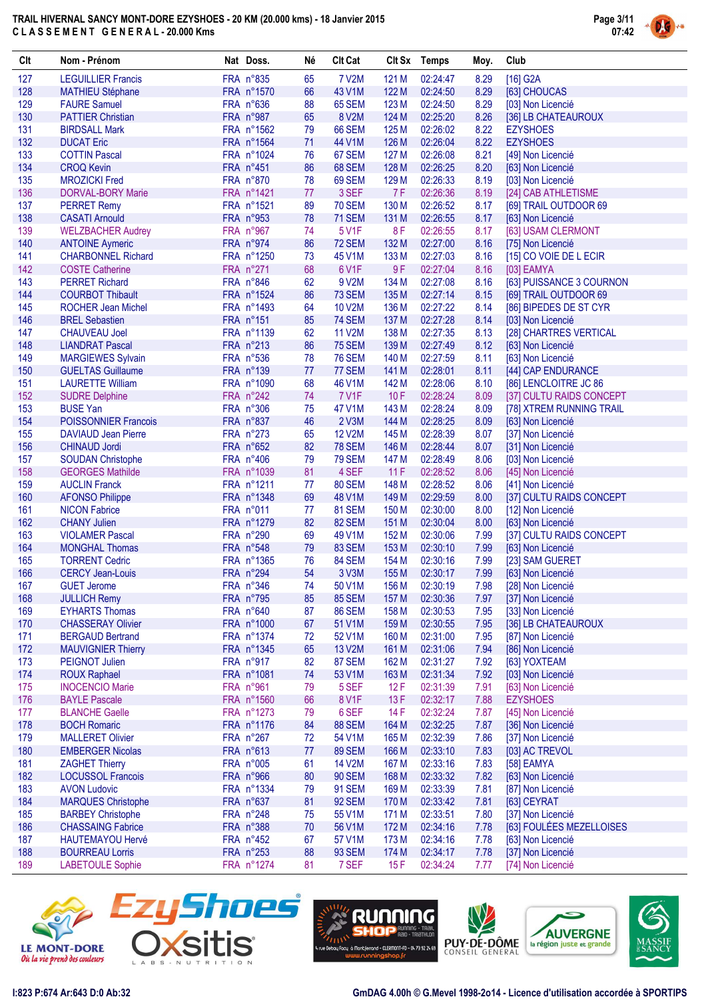

| Clt        | Nom - Prénom                                        | Nat Doss.               | Né       | <b>Clt Cat</b>          |                | Clt Sx Temps         | Moy.         | Club                                                 |
|------------|-----------------------------------------------------|-------------------------|----------|-------------------------|----------------|----------------------|--------------|------------------------------------------------------|
| 127        | <b>LEGUILLIER Francis</b>                           | FRA n°835               | 65       | <b>7 V2M</b>            | 121 M          | 02:24:47             | 8.29         | [16] G2A                                             |
| 128        | <b>MATHIEU Stéphane</b>                             | FRA n°1570              | 66       | 43 V1M                  | 122 M          | 02:24:50             | 8.29         | [63] CHOUCAS                                         |
| 129        | <b>FAURE Samuel</b>                                 | FRA n°636               | 88       | 65 SEM                  | 123 M          | 02:24:50             | 8.29         | [03] Non Licencié                                    |
| 130        | <b>PATTIER Christian</b>                            | FRA n°987               | 65       | 8 V2M                   | 124 M          | 02:25:20             | 8.26         | [36] LB CHATEAUROUX                                  |
| 131        | <b>BIRDSALL Mark</b>                                | FRA n°1562              | 79       | <b>66 SEM</b>           | 125 M          | 02:26:02             | 8.22         | <b>EZYSHOES</b>                                      |
| 132        | <b>DUCAT Eric</b>                                   | FRA n°1564              | 71       | 44 V1M                  | 126 M<br>127 M | 02:26:04             | 8.22         | <b>EZYSHOES</b>                                      |
| 133<br>134 | <b>COTTIN Pascal</b><br><b>CROQ Kevin</b>           | FRA n°1024<br>FRA n°451 | 76<br>86 | 67 SEM<br>68 SEM        | 128 M          | 02:26:08<br>02:26:25 | 8.21<br>8.20 | [49] Non Licencié                                    |
| 135        | <b>MROZICKI Fred</b>                                | FRA n°870               | 78       | 69 SEM                  | 129 M          | 02:26:33             | 8.19         | [63] Non Licencié<br>[03] Non Licencié               |
| 136        | <b>DORVAL-BORY Marie</b>                            | FRA n°1421              | 77       | 3 SEF                   | 7F             | 02:26:36             | 8.19         | [24] CAB ATHLETISME                                  |
| 137        | <b>PERRET Remy</b>                                  | FRA n°1521              | 89       | <b>70 SEM</b>           | 130 M          | 02:26:52             | 8.17         | [69] TRAIL OUTDOOR 69                                |
| 138        | <b>CASATI Arnould</b>                               | FRA n°953               | 78       | <b>71 SEM</b>           | 131 M          | 02:26:55             | 8.17         | [63] Non Licencié                                    |
| 139        | <b>WELZBACHER Audrey</b>                            | FRA n°967               | 74       | 5 V1F                   | 8F             | 02:26:55             | 8.17         | [63] USAM CLERMONT                                   |
| 140        | <b>ANTOINE Aymeric</b>                              | FRA n°974               | 86       | <b>72 SEM</b>           | 132 M          | 02:27:00             | 8.16         | [75] Non Licencié                                    |
| 141        | <b>CHARBONNEL Richard</b>                           | FRA n°1250              | 73       | 45 V1M                  | 133 M          | 02:27:03             | 8.16         | [15] CO VOIE DE L ECIR                               |
| 142        | <b>COSTE Catherine</b>                              | FRA n°271               | 68       | 6 V1F                   | 9F             | 02:27:04             | 8.16         | [03] EAMYA                                           |
| 143        | <b>PERRET Richard</b>                               | FRA n°846               | 62       | 9 V2M                   | 134 M          | 02:27:08             | 8.16         | [63] PUISSANCE 3 COURNON                             |
| 144        | <b>COURBOT Thibault</b>                             | FRA n°1524              | 86       | 73 SEM                  | 135 M          | 02:27:14             | 8.15         | [69] TRAIL OUTDOOR 69                                |
| 145        | <b>ROCHER Jean Michel</b>                           | FRA n°1493              | 64       | 10 V2M                  | 136 M          | 02:27:22             | 8.14         | [86] BIPEDES DE ST CYR                               |
| 146        | <b>BREL Sebastien</b>                               | FRA n°151               | 85       | <b>74 SEM</b>           | 137 M          | 02:27:28             | 8.14         | [03] Non Licencié                                    |
| 147        | <b>CHAUVEAU Joel</b>                                | FRA n°1139              | 62       | 11 V2M                  | 138 M          | 02:27:35             | 8.13         | [28] CHARTRES VERTICAL                               |
| 148        | <b>LIANDRAT Pascal</b>                              | FRA n°213               | 86       | <b>75 SEM</b>           | 139 M          | 02:27:49             | 8.12         | [63] Non Licencié                                    |
| 149        | <b>MARGIEWES Sylvain</b>                            | FRA n°536               | 78       | <b>76 SEM</b>           | 140 M          | 02:27:59             | 8.11         | [63] Non Licencié                                    |
| 150        | <b>GUELTAS Guillaume</b>                            | FRA n°139               | 77       | 77 SEM                  | 141 M          | 02:28:01             | 8.11         | [44] CAP ENDURANCE                                   |
| 151<br>152 | <b>LAURETTE William</b>                             | FRA n°1090<br>FRA n°242 | 68<br>74 | 46 V1M<br><b>7 V1F</b>  | 142 M          | 02:28:06<br>02:28:24 | 8.10         | [86] LENCLOITRE JC 86                                |
| 153        | <b>SUDRE Delphine</b><br><b>BUSE Yan</b>            | FRA n°306               | 75       | 47 V1M                  | 10F<br>143 M   | 02:28:24             | 8.09<br>8.09 | [37] CULTU RAIDS CONCEPT<br>[78] XTREM RUNNING TRAIL |
| 154        | <b>POISSONNIER Francois</b>                         | FRA n°837               | 46       | 2 V3M                   | 144 M          | 02:28:25             | 8.09         | [63] Non Licencié                                    |
| 155        | <b>DAVIAUD Jean Pierre</b>                          | FRA n°273               | 65       | <b>12 V2M</b>           | 145 M          | 02:28:39             | 8.07         | [37] Non Licencié                                    |
| 156        | <b>CHINAUD Jordi</b>                                | FRA n°652               | 82       | <b>78 SEM</b>           | 146 M          | 02:28:44             | 8.07         | [31] Non Licencié                                    |
| 157        | <b>SOUDAN Christophe</b>                            | FRA n°406               | 79       | <b>79 SEM</b>           | 147 M          | 02:28:49             | 8.06         | [03] Non Licencié                                    |
| 158        | <b>GEORGES Mathilde</b>                             | FRA n°1039              | 81       | 4 SEF                   | 11F            | 02:28:52             | 8.06         | [45] Non Licencié                                    |
| 159        | <b>AUCLIN Franck</b>                                | FRA n°1211              | 77       | <b>80 SEM</b>           | 148 M          | 02:28:52             | 8.06         | [41] Non Licencié                                    |
| 160        | <b>AFONSO Philippe</b>                              | FRA n°1348              | 69       | 48 V1M                  | 149 M          | 02:29:59             | 8.00         | [37] CULTU RAIDS CONCEPT                             |
| 161        | <b>NICON Fabrice</b>                                | FRA n°011               | 77       | <b>81 SEM</b>           | 150 M          | 02:30:00             | 8.00         | [12] Non Licencié                                    |
| 162        | <b>CHANY Julien</b>                                 | FRA n°1279              | 82       | <b>82 SEM</b>           | 151 M          | 02:30:04             | 8.00         | [63] Non Licencié                                    |
| 163        | <b>VIOLAMER Pascal</b>                              | FRA n°290               | 69       | 49 V1M                  | 152 M          | 02:30:06             | 7.99         | [37] CULTU RAIDS CONCEPT                             |
| 164        | <b>MONGHAL Thomas</b>                               | FRA n°548               | 79       | 83 SEM                  | 153 M          | 02:30:10             | 7.99         | [63] Non Licencié                                    |
| 165        | <b>TORRENT Cedric</b>                               | FRA n°1365              | 76       | 84 SEM                  | 154 M          | 02:30:16             | 7.99         | [23] SAM GUERET                                      |
| 166        | <b>CERCY Jean-Louis</b>                             | FRA n°294               | 54       | 3 V3M                   | 155 M          | 02:30:17             | 7.99         | [63] Non Licencié                                    |
| 167        | <b>GUET Jerome</b>                                  | FRA n°346               | 74       | 50 V1M                  | 156 M          | 02:30:19             | 7.98         | [28] Non Licencié                                    |
| 168        | <b>JULLICH Remy</b>                                 | FRA n°795               | 85       | <b>85 SEM</b>           | 157 M          | 02:30:36             | 7.97         | [37] Non Licencié                                    |
| 169<br>170 | <b>EYHARTS Thomas</b><br><b>CHASSERAY Olivier</b>   | FRA n°640<br>FRA n°1000 | 87<br>67 | <b>86 SEM</b><br>51 V1M | 158 M<br>159 M | 02:30:53<br>02:30:55 | 7.95         | [33] Non Licencié<br>[36] LB CHATEAUROUX             |
| 171        | <b>BERGAUD Bertrand</b>                             | FRA n°1374              | 72       | 52 V1M                  | 160 M          | 02:31:00             | 7.95<br>7.95 | [87] Non Licencié                                    |
| 172        | <b>MAUVIGNIER Thierry</b>                           | FRA n°1345              | 65       | 13 V2M                  | 161 M          | 02:31:06             | 7.94         | [86] Non Licencié                                    |
| 173        | <b>PEIGNOT Julien</b>                               | FRA n°917               | 82       | <b>87 SEM</b>           | 162 M          | 02:31:27             | 7.92         | [63] YOXTEAM                                         |
| 174        | <b>ROUX Raphael</b>                                 | FRA n°1081              | 74       | 53 V1M                  | 163 M          | 02:31:34             | 7.92         | [03] Non Licencié                                    |
| 175        | <b>INOCENCIO Marie</b>                              | FRA n°961               | 79       | 5 SEF                   | 12F            | 02:31:39             | 7.91         | [63] Non Licencié                                    |
| 176        | <b>BAYLE Pascale</b>                                | FRA n°1560              | 66       | <b>8 V1F</b>            | 13F            | 02:32:17             | 7.88         | <b>EZYSHOES</b>                                      |
| 177        | <b>BLANCHE Gaelle</b>                               | FRA n°1273              | 79       | 6 SEF                   | 14 F           | 02:32:24             | 7.87         | [45] Non Licencié                                    |
| 178        | <b>BOCH Romaric</b>                                 | FRA n°1176              | 84       | <b>88 SEM</b>           | 164 M          | 02:32:25             | 7.87         | [36] Non Licencié                                    |
| 179        | <b>MALLERET Olivier</b>                             | FRA n°267               | 72       | 54 V1M                  | 165 M          | 02:32:39             | 7.86         | [37] Non Licencié                                    |
| 180        | <b>EMBERGER Nicolas</b>                             | FRA n°613               | 77       | <b>89 SEM</b>           | 166 M          | 02:33:10             | 7.83         | [03] AC TREVOL                                       |
| 181        | <b>ZAGHET Thierry</b>                               | FRA n°005               | 61       | 14 V2M                  | 167 M          | 02:33:16             | 7.83         | [58] EAMYA                                           |
| 182        | <b>LOCUSSOL Francois</b>                            | FRA n°966               | 80       | <b>90 SEM</b>           | 168 M          | 02:33:32             | 7.82         | [63] Non Licencié                                    |
| 183        | <b>AVON Ludovic</b>                                 | FRA n°1334              | 79       | <b>91 SEM</b>           | 169 M          | 02:33:39             | 7.81         | [87] Non Licencié                                    |
| 184        | <b>MARQUES Christophe</b>                           | FRA n°637               | 81       | <b>92 SEM</b>           | 170 M          | 02:33:42             | 7.81         | [63] CEYRAT                                          |
| 185        | <b>BARBEY Christophe</b>                            | FRA n°248               | 75       | 55 V1M                  | 171 M          | 02:33:51             | 7.80         | [37] Non Licencié                                    |
| 186<br>187 | <b>CHASSAING Fabrice</b><br><b>HAUTEMAYOU Hervé</b> | FRA n°388<br>FRA n°452  | 70<br>67 | 56 V1M<br>57 V1M        | 172 M<br>173 M | 02:34:16<br>02:34:16 | 7.78<br>7.78 | [63] FOULÉES MEZELLOISES<br>[63] Non Licencié        |
| 188        | <b>BOURREAU Lorris</b>                              | FRA n°253               | 88       | <b>93 SEM</b>           | 174 M          | 02:34:17             | 7.78         | [37] Non Licencié                                    |
| 189        | <b>LABETOULE Sophie</b>                             | FRA n°1274              | 81       | 7 SEF                   | 15F            | 02:34:24             | 7.77         | [74] Non Licencié                                    |
|            |                                                     |                         |          |                         |                |                      |              |                                                      |









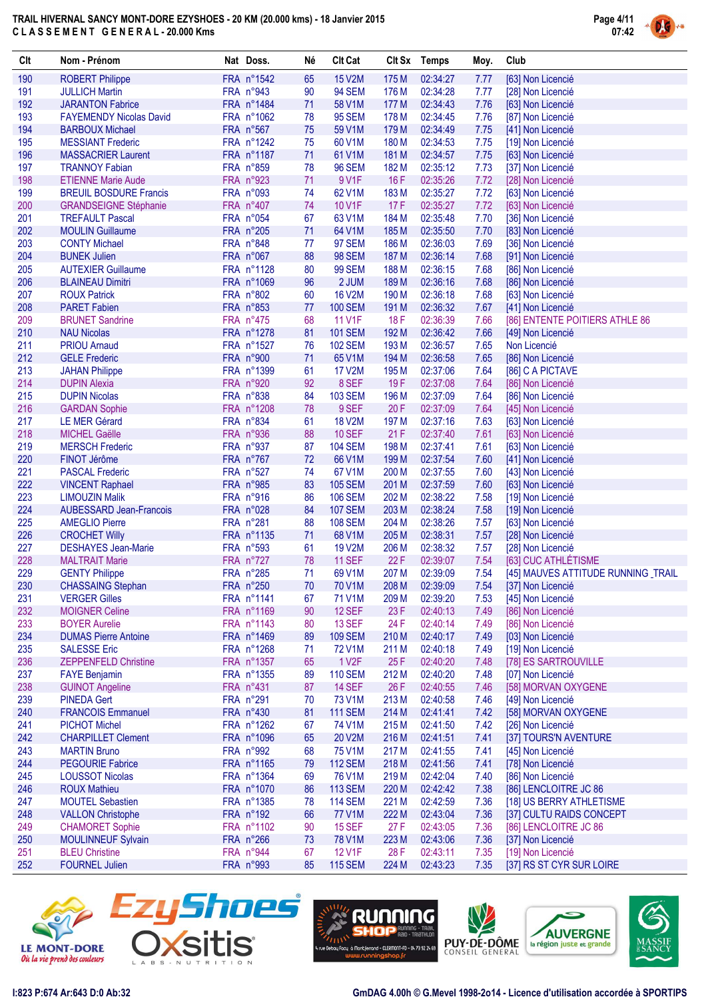

| Clt        | Nom - Prénom                                                  | Nat Doss.                | Né       | <b>Clt Cat</b>                  |              | Clt Sx Temps         | Moy.         | Club                                      |
|------------|---------------------------------------------------------------|--------------------------|----------|---------------------------------|--------------|----------------------|--------------|-------------------------------------------|
| 190        | <b>ROBERT Philippe</b>                                        | FRA n°1542               | 65       | <b>15 V2M</b>                   | 175 M        | 02:34:27             | 7.77         | [63] Non Licencié                         |
| 191        | <b>JULLICH Martin</b>                                         | FRA n°943                | 90       | <b>94 SEM</b>                   | 176 M        | 02:34:28             | 7.77         | [28] Non Licencié                         |
| 192        | <b>JARANTON Fabrice</b>                                       | FRA n°1484               | 71       | 58 V1M                          | 177 M        | 02:34:43             | 7.76         | [63] Non Licencié                         |
| 193        | <b>FAYEMENDY Nicolas David</b>                                | FRA n°1062               | 78       | <b>95 SEM</b>                   | 178 M        | 02:34:45             | 7.76         | [87] Non Licencié                         |
| 194        | <b>BARBOUX Michael</b>                                        | FRA n°567                | 75       | 59 V1M                          | 179 M        | 02:34:49             | 7.75         | [41] Non Licencié                         |
| 195        | <b>MESSIANT Frederic</b>                                      | FRA n°1242               | 75       | 60 V1M                          | 180 M        | 02:34:53             | 7.75         | [19] Non Licencié                         |
| 196        | <b>MASSACRIER Laurent</b>                                     | FRA n°1187               | 71       | 61 V1M                          | 181 M        | 02:34:57             | 7.75         | [63] Non Licencié                         |
| 197        | <b>TRANNOY Fabian</b>                                         | FRA n°859                | 78       | <b>96 SEM</b>                   | 182 M        | 02:35:12             | 7.73         | [37] Non Licencié                         |
| 198<br>199 | <b>ETIENNE Marie Aude</b>                                     | FRA n°923<br>FRA n°093   | 71<br>74 | 9 V1F<br>62 V1M                 | 16F<br>183 M | 02:35:26             | 7.72<br>7.72 | [28] Non Licencié                         |
| 200        | <b>BREUIL BOSDURE Francis</b><br><b>GRANDSEIGNE Stéphanie</b> | FRA n°407                | 74       | 10 V1F                          | 17F          | 02:35:27<br>02:35:27 | 7.72         | [63] Non Licencié<br>[63] Non Licencié    |
| 201        | <b>TREFAULT Pascal</b>                                        | FRA n°054                | 67       | 63 V1M                          | 184 M        | 02:35:48             | 7.70         | [36] Non Licencié                         |
| 202        | <b>MOULIN Guillaume</b>                                       | FRA n°205                | 71       | 64 V1M                          | 185 M        | 02:35:50             | 7.70         | [83] Non Licencié                         |
| 203        | <b>CONTY Michael</b>                                          | FRA n°848                | 77       | <b>97 SEM</b>                   | 186 M        | 02:36:03             | 7.69         | [36] Non Licencié                         |
| 204        | <b>BUNEK Julien</b>                                           | FRA n°067                | 88       | <b>98 SEM</b>                   | 187 M        | 02:36:14             | 7.68         | [91] Non Licencié                         |
| 205        | <b>AUTEXIER Guillaume</b>                                     | FRA n°1128               | 80       | <b>99 SEM</b>                   | 188 M        | 02:36:15             | 7.68         | [86] Non Licencié                         |
| 206        | <b>BLAINEAU Dimitri</b>                                       | FRA n°1069               | 96       | 2 JUM                           | 189 M        | 02:36:16             | 7.68         | [86] Non Licencié                         |
| 207        | <b>ROUX Patrick</b>                                           | FRA n°802                | 60       | <b>16 V2M</b>                   | 190 M        | 02:36:18             | 7.68         | [63] Non Licencié                         |
| 208        | <b>PARET Fabien</b>                                           | FRA n°853                | 77       | <b>100 SEM</b>                  | 191 M        | 02:36:32             | 7.67         | [41] Non Licencié                         |
| 209        | <b>BRUNET Sandrine</b>                                        | FRA n°475                | 68       | 11 V1F                          | 18F          | 02:36:39             | 7.66         | [86] ENTENTE POITIERS ATHLE 86            |
| 210        | <b>NAU Nicolas</b>                                            | FRA n°1278               | 81       | <b>101 SEM</b>                  | 192 M        | 02:36:42             | 7.66         | [49] Non Licencié                         |
| 211        | <b>PRIOU Amaud</b>                                            | FRA n°1527               | 76       | <b>102 SEM</b>                  | 193 M        | 02:36:57             | 7.65         | Non Licencié                              |
| 212        | <b>GELE Frederic</b>                                          | FRA n°900                | 71       | 65 V1M                          | 194 M        | 02:36:58             | 7.65         | [86] Non Licencié                         |
| 213        | <b>JAHAN Philippe</b>                                         | FRA n°1399               | 61       | <b>17 V2M</b>                   | 195 M        | 02:37:06             | 7.64         | [86] C A PICTAVE                          |
| 214        | <b>DUPIN Alexia</b>                                           | FRA n°920                | 92       | 8 SEF                           | 19F          | 02:37:08             | 7.64         | [86] Non Licencié                         |
| 215        | <b>DUPIN Nicolas</b>                                          | FRA n°838                | 84       | <b>103 SEM</b>                  | 196 M        | 02:37:09             | 7.64         | [86] Non Licencié                         |
| 216        | <b>GARDAN Sophie</b>                                          | FRA n°1208               | 78       | 9 SEF                           | 20 F         | 02:37:09             | 7.64         | [45] Non Licencié                         |
| 217        | <b>LE MER Gérard</b>                                          | FRA n°834                | 61       | <b>18 V2M</b>                   | 197 M        | 02:37:16             | 7.63         | [63] Non Licencié                         |
| 218<br>219 | <b>MICHEL Gaëlle</b><br><b>MERSCH Frederic</b>                | FRA n°936<br>FRA n°937   | 88<br>87 | <b>10 SEF</b><br><b>104 SEM</b> | 21F<br>198 M | 02:37:40<br>02:37:41 | 7.61<br>7.61 | [63] Non Licencié                         |
| 220        | FINOT Jérôme                                                  | FRA n°767                | 72       | 66 V1M                          | 199 M        | 02:37:54             | 7.60         | [63] Non Licencié<br>[41] Non Licencié    |
| 221        | <b>PASCAL Frederic</b>                                        | FRA n°527                | 74       | 67 V1M                          | 200 M        | 02:37:55             | 7.60         | [43] Non Licencié                         |
| 222        | <b>VINCENT Raphael</b>                                        | FRA n°985                | 83       | <b>105 SEM</b>                  | 201 M        | 02:37:59             | 7.60         | [63] Non Licencié                         |
| 223        | <b>LIMOUZIN Malik</b>                                         | FRA n°916                | 86       | <b>106 SEM</b>                  | 202 M        | 02:38:22             | 7.58         | [19] Non Licencié                         |
| 224        | <b>AUBESSARD Jean-Francois</b>                                | FRA n°028                | 84       | <b>107 SEM</b>                  | 203 M        | 02:38:24             | 7.58         | [19] Non Licencié                         |
| 225        | <b>AMEGLIO Pierre</b>                                         | FRA n°281                | 88       | <b>108 SEM</b>                  | 204 M        | 02:38:26             | 7.57         | [63] Non Licencié                         |
| 226        | <b>CROCHET Willy</b>                                          | FRA n°1135               | 71       | 68 V1M                          | 205 M        | 02:38:31             | 7.57         | [28] Non Licencié                         |
| 227        | <b>DESHAYES Jean-Marie</b>                                    | FRA n°593                | 61       | <b>19 V2M</b>                   | 206 M        | 02:38:32             | 7.57         | [28] Non Licencié                         |
| 228        | <b>MALTRAIT Marie</b>                                         | FRA n°727                | 78       | <b>11 SEF</b>                   | 22 F         | 02:39:07             | 7.54         | [63] CUC ATHLÉTISME                       |
| 229        | <b>GENTY Philippe</b>                                         | FRA n°285                | 71       | 69 V1M                          | 207 M        | 02:39:09             | 7.54         | [45] MAUVES ATTITUDE RUNNING _TRAIL       |
| 230        | <b>CHASSAING Stephan</b>                                      | FRA n°250                | 70       | 70 V1M                          | 208 M        | 02:39:09             | 7.54         | [37] Non Licencié                         |
| 231        | <b>VERGER Gilles</b>                                          | FRA n°1141               | 67       | 71 V1M                          | 209 M        | 02:39:20             | 7.53         | [45] Non Licencié                         |
| 232        | <b>MOIGNER Celine</b>                                         | FRA n°1169               | 90       | 12 SEF                          | 23 F         | 02:40:13             | 7.49         | [86] Non Licencié                         |
| 233        | <b>BOYER Aurelie</b>                                          | FRA n°1143               | 80       | <b>13 SEF</b>                   | 24 F         | 02:40:14             | 7.49         | [86] Non Licencié                         |
| 234        | <b>DUMAS Pierre Antoine</b>                                   | FRA n°1469               | 89       | <b>109 SEM</b>                  | 210 M        | 02:40:17             | 7.49         | [03] Non Licencié                         |
| 235<br>236 | <b>SALESSE Eric</b><br>ZEPPENFELD Christine                   | FRA n°1268<br>FRA n°1357 | 71<br>65 | 72 V1M<br>1 V <sub>2</sub> F    | 211 M<br>25F | 02:40:18<br>02:40:20 | 7.49         | [19] Non Licencié<br>[78] ES SARTROUVILLE |
| 237        | <b>FAYE Benjamin</b>                                          | FRA n°1355               | 89       | <b>110 SEM</b>                  | 212 M        | 02:40:20             | 7.48<br>7.48 | [07] Non Licencié                         |
| 238        | <b>GUINOT Angeline</b>                                        | FRA n°431                | 87       | <b>14 SEF</b>                   | 26 F         | 02:40:55             | 7.46         | [58] MORVAN OXYGENE                       |
| 239        | <b>PINEDA Gert</b>                                            | FRA n°291                | 70       | 73 V1M                          | 213 M        | 02:40:58             | 7.46         | [49] Non Licencié                         |
| 240        | <b>FRANCOIS Emmanuel</b>                                      | FRA n°430                | 81       | <b>111 SEM</b>                  | 214 M        | 02:41:41             | 7.42         | [58] MORVAN OXYGENE                       |
| 241        | <b>PICHOT Michel</b>                                          | FRA n°1262               | 67       | 74 V1M                          | 215 M        | 02:41:50             | 7.42         | [26] Non Licencié                         |
| 242        | <b>CHARPILLET Clement</b>                                     | FRA n°1096               | 65       | 20 V2M                          | 216 M        | 02:41:51             | 7.41         | [37] TOURS'N AVENTURE                     |
| 243        | <b>MARTIN Bruno</b>                                           | FRA n°992                | 68       | 75 V1M                          | 217 M        | 02:41:55             | 7.41         | [45] Non Licencié                         |
| 244        | <b>PEGOURIE Fabrice</b>                                       | FRA n°1165               | 79       | <b>112 SEM</b>                  | 218 M        | 02:41:56             | 7.41         | [78] Non Licencié                         |
| 245        | <b>LOUSSOT Nicolas</b>                                        | FRA n°1364               | 69       | 76 V1M                          | 219 M        | 02:42:04             | 7.40         | [86] Non Licencié                         |
| 246        | <b>ROUX Mathieu</b>                                           | FRA n°1070               | 86       | <b>113 SEM</b>                  | 220 M        | 02:42:42             | 7.38         | [86] LENCLOITRE JC 86                     |
| 247        | <b>MOUTEL Sebastien</b>                                       | FRA n°1385               | 78       | <b>114 SEM</b>                  | 221 M        | 02:42:59             | 7.36         | [18] US BERRY ATHLETISME                  |
| 248        | <b>VALLON Christophe</b>                                      | FRA n°192                | 66       | <b>77 V1M</b>                   | 222 M        | 02:43:04             | 7.36         | [37] CULTU RAIDS CONCEPT                  |
| 249        | <b>CHAMORET Sophie</b>                                        | FRA n°1102               | 90       | <b>15 SEF</b>                   | 27F          | 02:43:05             | 7.36         | [86] LENCLOITRE JC 86                     |
| 250        | <b>MOULINNEUF Sylvain</b>                                     | FRA n°266                | 73       | <b>78 V1M</b>                   | 223 M        | 02:43:06             | 7.36         | [37] Non Licencié                         |
| 251        | <b>BLEU Christine</b>                                         | FRA n°944                | 67       | <b>12 V1F</b>                   | 28 F         | 02:43:11             | 7.35         | [19] Non Licencié                         |
| 252        | <b>FOURNEL Julien</b>                                         | FRA n°993                | 85       | <b>115 SEM</b>                  | 224 M        | 02:43:23             | 7.35         | [37] RS ST CYR SUR LOIRE                  |









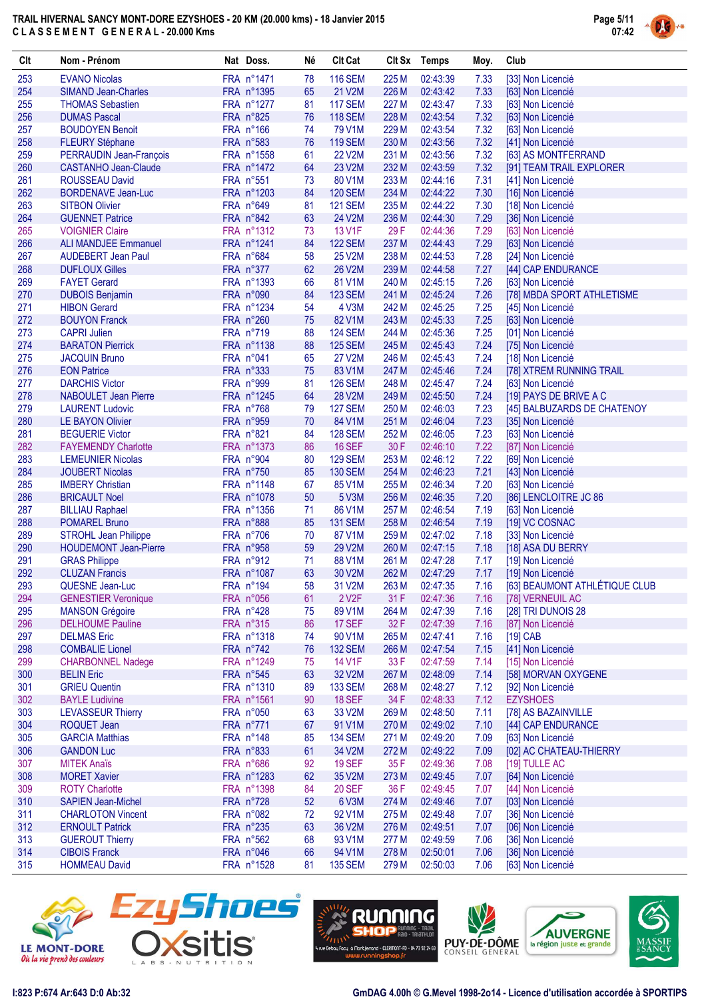

| Clt        | Nom - Prénom                                           | Nat Doss.                | Né       | <b>Clt Cat</b>                   |                | Clt Sx Temps         | Moy.         | Club                                            |
|------------|--------------------------------------------------------|--------------------------|----------|----------------------------------|----------------|----------------------|--------------|-------------------------------------------------|
| 253        | <b>EVANO Nicolas</b>                                   | FRA n°1471               | 78       | <b>116 SEM</b>                   | 225 M          | 02:43:39             | 7.33         | [33] Non Licencié                               |
| 254        | <b>SIMAND Jean-Charles</b>                             | FRA n°1395               | 65       | 21 V2M                           | 226 M          | 02:43:42             | 7.33         | [63] Non Licencié                               |
| 255        | <b>THOMAS Sebastien</b>                                | FRA n°1277               | 81       | <b>117 SEM</b>                   | 227 M          | 02:43:47             | 7.33         | [63] Non Licencié                               |
| 256        | <b>DUMAS Pascal</b>                                    | FRA n°825                | 76       | <b>118 SEM</b>                   | 228 M          | 02:43:54             | 7.32         | [63] Non Licencié                               |
| 257        | <b>BOUDOYEN Benoit</b>                                 | FRA n°166                | 74       | 79 V1M                           | 229 M          | 02:43:54             | 7.32         | [63] Non Licencié                               |
| 258<br>259 | <b>FLEURY Stéphane</b>                                 | FRA n°583<br>FRA n°1558  | 76       | <b>119 SEM</b><br><b>22 V2M</b>  | 230 M<br>231 M | 02:43:56             | 7.32<br>7.32 | [41] Non Licencié                               |
| 260        | PERRAUDIN Jean-François<br><b>CASTANHO Jean-Claude</b> | FRA n°1472               | 61<br>64 | 23 V2M                           | 232 M          | 02:43:56<br>02:43:59 | 7.32         | [63] AS MONTFERRAND<br>[91] TEAM TRAIL EXPLORER |
| 261        | <b>ROUSSEAU David</b>                                  | FRA n°551                | 73       | 80 V1M                           | 233 M          | 02:44:16             | 7.31         | [41] Non Licencié                               |
| 262        | <b>BORDENAVE Jean-Luc</b>                              | FRA n°1203               | 84       | <b>120 SEM</b>                   | 234 M          | 02:44:22             | 7.30         | [16] Non Licencié                               |
| 263        | <b>SITBON Olivier</b>                                  | FRA n°649                | 81       | <b>121 SEM</b>                   | 235 M          | 02:44:22             | 7.30         | [18] Non Licencié                               |
| 264        | <b>GUENNET Patrice</b>                                 | FRA n°842                | 63       | 24 V2M                           | 236 M          | 02:44:30             | 7.29         | [36] Non Licencié                               |
| 265        | <b>VOIGNIER Claire</b>                                 | FRA n°1312               | 73       | 13 V1F                           | 29 F           | 02:44:36             | 7.29         | [63] Non Licencié                               |
| 266        | <b>ALI MANDJEE Emmanuel</b>                            | FRA n°1241               | 84       | <b>122 SEM</b>                   | 237 M          | 02:44:43             | 7.29         | [63] Non Licencié                               |
| 267        | <b>AUDEBERT Jean Paul</b>                              | FRA n°684                | 58       | 25 V2M                           | 238 M          | 02:44:53             | 7.28         | [24] Non Licencié                               |
| 268        | <b>DUFLOUX Gilles</b>                                  | FRA n°377                | 62       | <b>26 V2M</b>                    | 239 M          | 02:44:58             | 7.27         | [44] CAP ENDURANCE                              |
| 269        | <b>FAYET Gerard</b>                                    | FRA n°1393               | 66       | 81 V1M                           | 240 M          | 02:45:15             | 7.26         | [63] Non Licencié                               |
| 270        | <b>DUBOIS Benjamin</b>                                 | FRA n°090                | 84       | <b>123 SEM</b>                   | 241 M          | 02:45:24             | 7.26         | [78] MBDA SPORT ATHLETISME                      |
| 271        | <b>HIBON Gerard</b>                                    | FRA n°1234               | 54       | 4 V3M                            | 242 M          | 02:45:25             | 7.25         | [45] Non Licencié                               |
| 272        | <b>BOUYON Franck</b>                                   | FRA n°260                | 75       | 82 V1M                           | 243 M          | 02:45:33             | 7.25         | [63] Non Licencié                               |
| 273        | <b>CAPRI Julien</b>                                    | FRA n°719<br>FRA n°1138  | 88       | <b>124 SEM</b><br><b>125 SEM</b> | 244 M          | 02:45:36             | 7.25         | [01] Non Licencié                               |
| 274<br>275 | <b>BARATON Pierrick</b><br><b>JACQUIN Bruno</b>        | FRA n°041                | 88<br>65 | 27 V2M                           | 245 M<br>246 M | 02:45:43<br>02:45:43 | 7.24<br>7.24 | [75] Non Licencié<br>[18] Non Licencié          |
| 276        | <b>EON Patrice</b>                                     | FRA n°333                | 75       | 83 V1M                           | 247 M          | 02:45:46             | 7.24         | [78] XTREM RUNNING TRAIL                        |
| 277        | <b>DARCHIS Victor</b>                                  | FRA n°999                | 81       | <b>126 SEM</b>                   | 248 M          | 02:45:47             | 7.24         | [63] Non Licencié                               |
| 278        | <b>NABOULET Jean Pierre</b>                            | FRA n°1245               | 64       | <b>28 V2M</b>                    | 249 M          | 02:45:50             | 7.24         | [19] PAYS DE BRIVE A C                          |
| 279        | <b>LAURENT Ludovic</b>                                 | FRA n°768                | 79       | <b>127 SEM</b>                   | 250 M          | 02:46:03             | 7.23         | [45] BALBUZARDS DE CHATENOY                     |
| 280        | <b>LE BAYON Olivier</b>                                | FRA n°959                | 70       | 84 V1M                           | 251 M          | 02:46:04             | 7.23         | [35] Non Licencié                               |
| 281        | <b>BEGUERIE Victor</b>                                 | FRA n°821                | 84       | <b>128 SEM</b>                   | 252 M          | 02:46:05             | 7.23         | [63] Non Licencié                               |
| 282        | <b>FAYEMENDY Charlotte</b>                             | FRA n°1373               | 86       | <b>16 SEF</b>                    | 30 F           | 02:46:10             | 7.22         | [87] Non Licencié                               |
| 283        | <b>LEMEUNIER Nicolas</b>                               | FRA n°904                | 80       | <b>129 SEM</b>                   | 253 M          | 02:46:12             | 7.22         | [69] Non Licencié                               |
| 284        | <b>JOUBERT Nicolas</b>                                 | FRA n°750                | 85       | <b>130 SEM</b>                   | 254 M          | 02:46:23             | 7.21         | [43] Non Licencié                               |
| 285        | <b>IMBERY Christian</b>                                | FRA n°1148               | 67       | 85 V1M                           | 255 M          | 02:46:34             | 7.20         | [63] Non Licencié                               |
| 286        | <b>BRICAULT Noel</b>                                   | FRA n°1078               | 50       | 5 V3M                            | 256 M          | 02:46:35             | 7.20         | [86] LENCLOITRE JC 86                           |
| 287        | <b>BILLIAU Raphael</b>                                 | FRA n°1356               | 71       | 86 V1M                           | 257 M          | 02:46:54             | 7.19         | [63] Non Licencié                               |
| 288<br>289 | <b>POMAREL Bruno</b><br><b>STROHL Jean Philippe</b>    | FRA n°888<br>FRA n°706   | 85<br>70 | <b>131 SEM</b><br>87 V1M         | 258 M<br>259 M | 02:46:54<br>02:47:02 | 7.19<br>7.18 | [19] VC COSNAC<br>[33] Non Licencié             |
| 290        | <b>HOUDEMONT Jean-Pierre</b>                           | FRA n°958                | 59       | 29 V2M                           | 260 M          | 02:47:15             | 7.18         | [18] ASA DU BERRY                               |
| 291        | <b>GRAS Philippe</b>                                   | FRA n°912                | 71       | 88 V1M                           | 261 M          | 02:47:28             | 7.17         | [19] Non Licencié                               |
| 292        | <b>CLUZAN Francis</b>                                  | FRA n°1087               | 63       | 30 V2M                           | 262 M          | 02:47:29             | 7.17         | [19] Non Licencié                               |
| 293        | QUESNE Jean-Luc                                        | FRA n°194                | 58       | 31 V2M                           | 263 M          | 02:47:35             | 7.16         | [63] BEAUMONT ATHLÉTIQUE CLUB                   |
| 294        | <b>GENESTIER Veronique</b>                             | FRA n°056                | 61       | 2 V <sub>2</sub> F               | 31 F           | 02:47:36             | 7.16         | [78] VERNEUIL AC                                |
| 295        | <b>MANSON Grégoire</b>                                 | FRA n°428                | 75       | 89 V1M                           | 264 M          | 02:47:39             | 7.16         | [28] TRI DUNOIS 28                              |
| 296        | <b>DELHOUME Pauline</b>                                | FRA n°315                | 86       | <b>17 SEF</b>                    | 32 F           | 02:47:39             | 7.16         | [87] Non Licencié                               |
| 297        | <b>DELMAS Eric</b>                                     | FRA n°1318               | 74       | 90 V1M                           | 265 M          | 02:47:41             | 7.16         | $[19]$ CAB                                      |
| 298        | <b>COMBALIE Lionel</b>                                 | FRA n°742                | 76       | <b>132 SEM</b>                   | 266 M          | 02:47:54             | 7.15         | [41] Non Licencié                               |
| 299        | <b>CHARBONNEL Nadege</b>                               | FRA n°1249               | 75       | 14 V1F                           | 33 F           | 02:47:59             | 7.14         | [15] Non Licencié                               |
| 300        | <b>BELIN Eric</b><br><b>GRIEU Quentin</b>              | FRA n°545                | 63       | 32 V2M                           | 267 M          | 02:48:09             | 7.14         | [58] MORVAN OXYGENE                             |
| 301<br>302 | <b>BAYLE Ludivine</b>                                  | FRA n°1310<br>FRA n°1561 | 89<br>90 | <b>133 SEM</b><br><b>18 SEF</b>  | 268 M<br>34 F  | 02:48:27<br>02:48:33 | 7.12<br>7.12 | [92] Non Licencié<br><b>EZYSHOES</b>            |
| 303        | <b>LEVASSEUR Thierry</b>                               | FRA n°050                | 63       | 33 V2M                           | 269 M          | 02:48:50             | 7.11         | [78] AS BAZAINVILLE                             |
| 304        | <b>ROQUET Jean</b>                                     | FRA n°771                | 67       | 91 V1M                           | 270 M          | 02:49:02             | 7.10         | [44] CAP ENDURANCE                              |
| 305        | <b>GARCIA Matthias</b>                                 | FRA n°148                | 85       | <b>134 SEM</b>                   | 271 M          | 02:49:20             | 7.09         | [63] Non Licencié                               |
| 306        | <b>GANDON Luc</b>                                      | FRA n°833                | 61       | 34 V2M                           | 272 M          | 02:49:22             | 7.09         | [02] AC CHATEAU-THIERRY                         |
| 307        | <b>MITEK Anaïs</b>                                     | FRA n°686                | 92       | <b>19 SEF</b>                    | 35 F           | 02:49:36             | 7.08         | [19] TULLE AC                                   |
| 308        | <b>MORET Xavier</b>                                    | FRA n°1283               | 62       | 35 V2M                           | 273 M          | 02:49:45             | 7.07         | [64] Non Licencié                               |
| 309        | <b>ROTY Charlotte</b>                                  | FRA n°1398               | 84       | <b>20 SEF</b>                    | 36 F           | 02:49:45             | 7.07         | [44] Non Licencié                               |
| 310        | <b>SAPIEN Jean-Michel</b>                              | FRA n°728                | 52       | 6 V3M                            | 274 M          | 02:49:46             | 7.07         | [03] Non Licencié                               |
| 311        | <b>CHARLOTON Vincent</b>                               | FRA n°082                | 72       | 92 V1M                           | 275 M          | 02:49:48             | 7.07         | [36] Non Licencié                               |
| 312        | <b>ERNOULT Patrick</b>                                 | FRA n°235                | 63       | 36 V2M                           | 276 M          | 02:49:51             | 7.07         | [06] Non Licencié                               |
| 313        | <b>GUEROUT Thierry</b>                                 | FRA n°562                | 68       | 93 V1M                           | 277 M          | 02:49:59             | 7.06         | [36] Non Licencié                               |
| 314<br>315 | <b>CIBOIS Franck</b><br><b>HOMMEAU David</b>           | FRA n°046<br>FRA n°1528  | 66<br>81 | 94 V1M<br><b>135 SEM</b>         | 278 M<br>279 M | 02:50:01<br>02:50:03 | 7.06<br>7.06 | [36] Non Licencié<br>[63] Non Licencié          |
|            |                                                        |                          |          |                                  |                |                      |              |                                                 |









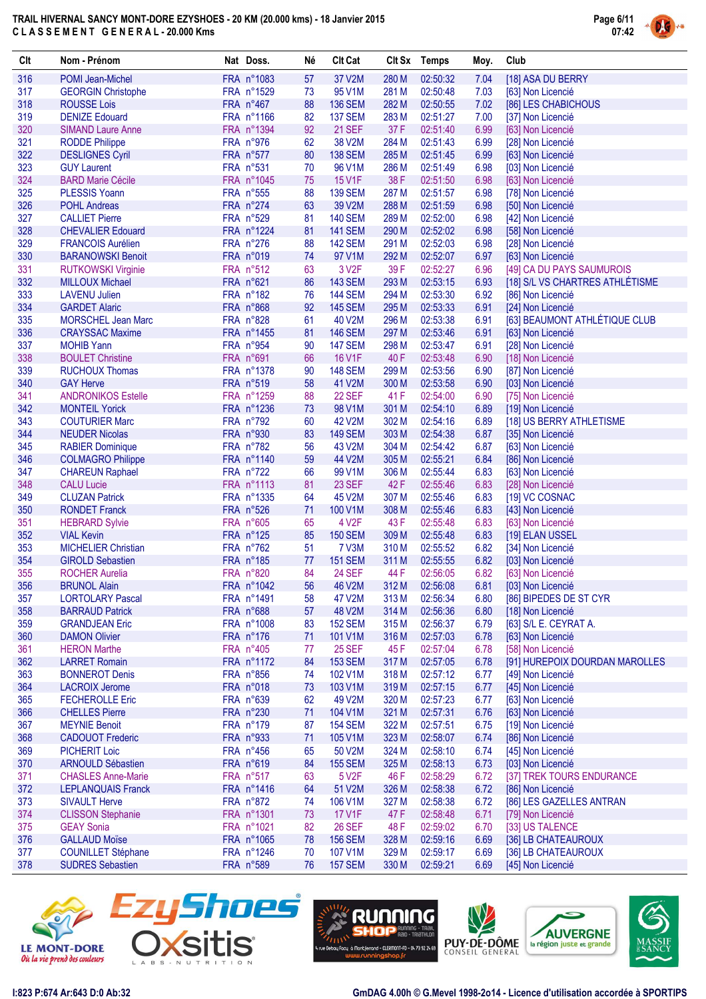

| Clt        | Nom - Prénom                                         | Nat Doss.               | Né       | <b>Clt Cat</b>            |                | Clt Sx Temps         | Moy.         | Club                                       |
|------------|------------------------------------------------------|-------------------------|----------|---------------------------|----------------|----------------------|--------------|--------------------------------------------|
| 316        | POMI Jean-Michel                                     | FRA n°1083              | 57       | 37 V2M                    | 280 M          | 02:50:32             | 7.04         | [18] ASA DU BERRY                          |
| 317        | <b>GEORGIN Christophe</b>                            | FRA n°1529              | 73       | 95 V1M                    | 281 M          | 02:50:48             | 7.03         | [63] Non Licencié                          |
| 318        | <b>ROUSSE Lois</b>                                   | FRA n°467               | 88       | <b>136 SEM</b>            | 282 M          | 02:50:55             | 7.02         | [86] LES CHABICHOUS                        |
| 319        | <b>DENIZE Edouard</b>                                | FRA n°1166              | 82       | <b>137 SEM</b>            | 283 M          | 02:51:27             | 7.00         | [37] Non Licencié                          |
| 320        | <b>SIMAND Laure Anne</b>                             | FRA n°1394              | 92       | <b>21 SEF</b>             | 37F            | 02:51:40             | 6.99         | [63] Non Licencié                          |
| 321        | <b>RODDE Philippe</b>                                | FRA n°976               | 62       | 38 V2M                    | 284 M          | 02:51:43             | 6.99         | [28] Non Licencié                          |
| 322        | <b>DESLIGNES Cyril</b>                               | FRA n°577               | 80       | <b>138 SEM</b>            | 285 M          | 02:51:45             | 6.99         | [63] Non Licencié                          |
| 323        | <b>GUY Laurent</b>                                   | FRA n°531               | 70       | 96 V1M                    | 286 M          | 02:51:49             | 6.98         | [03] Non Licencié                          |
| 324        | <b>BARD Marie Cécile</b>                             | FRA n°1045              | 75       | 15 V1F                    | 38 F           | 02:51:50             | 6.98         | [63] Non Licencié                          |
| 325        | <b>PLESSIS Yoann</b>                                 | FRA n°555               | 88       | <b>139 SEM</b>            | 287 M          | 02:51:57             | 6.98         | [78] Non Licencié                          |
| 326        | <b>POHL Andreas</b>                                  | FRA n°274               | 63       | 39 V2M                    | 288 M          | 02:51:59             | 6.98         | [50] Non Licencié                          |
| 327        | <b>CALLIET Pierre</b>                                | FRA n°529               | 81       | <b>140 SEM</b>            | 289 M          | 02:52:00             | 6.98         | [42] Non Licencié                          |
| 328<br>329 | <b>CHEVALIER Edouard</b>                             | FRA n°1224              | 81       | <b>141 SEM</b>            | 290 M          | 02:52:02             | 6.98         | [58] Non Licencié                          |
| 330        | <b>FRANCOIS Aurélien</b><br><b>BARANOWSKI Benoit</b> | FRA n°276<br>FRA n°019  | 88<br>74 | <b>142 SEM</b><br>97 V1M  | 291 M<br>292 M | 02:52:03<br>02:52:07 | 6.98<br>6.97 | [28] Non Licencié<br>[63] Non Licencié     |
| 331        | <b>RUTKOWSKI Virginie</b>                            | FRA n°512               | 63       | 3 V <sub>2</sub> F        | 39F            | 02:52:27             | 6.96         | [49] CA DU PAYS SAUMUROIS                  |
| 332        | <b>MILLOUX Michael</b>                               | FRA n°621               | 86       | <b>143 SEM</b>            | 293 M          | 02:53:15             | 6.93         | [18] S/L VS CHARTRES ATHLÉTISME            |
| 333        | <b>LAVENU Julien</b>                                 | FRA n°182               | 76       | <b>144 SEM</b>            | 294 M          | 02:53:30             | 6.92         | [86] Non Licencié                          |
| 334        | <b>GARDET Alaric</b>                                 | FRA n°868               | 92       | <b>145 SEM</b>            | 295 M          | 02:53:33             | 6.91         | [24] Non Licencié                          |
| 335        | <b>MORSCHEL Jean Marc</b>                            | FRA n°828               | 61       | 40 V2M                    | 296 M          | 02:53:38             | 6.91         | [63] BEAUMONT ATHLÉTIQUE CLUB              |
| 336        | <b>CRAYSSAC Maxime</b>                               | FRA n°1455              | 81       | <b>146 SEM</b>            | 297 M          | 02:53:46             | 6.91         | [63] Non Licencié                          |
| 337        | <b>MOHIB Yann</b>                                    | FRA n°954               | 90       | <b>147 SEM</b>            | 298 M          | 02:53:47             | 6.91         | [28] Non Licencié                          |
| 338        | <b>BOULET Christine</b>                              | FRA n°691               | 66       | 16 V1F                    | 40F            | 02:53:48             | 6.90         | [18] Non Licencié                          |
| 339        | <b>RUCHOUX Thomas</b>                                | FRA n°1378              | 90       | <b>148 SEM</b>            | 299 M          | 02:53:56             | 6.90         | [87] Non Licencié                          |
| 340        | <b>GAY Herve</b>                                     | FRA n°519               | 58       | 41 V2M                    | 300 M          | 02:53:58             | 6.90         | [03] Non Licencié                          |
| 341        | <b>ANDRONIKOS Estelle</b>                            | FRA n°1259              | 88       | <b>22 SEF</b>             | 41 F           | 02:54:00             | 6.90         | [75] Non Licencié                          |
| 342        | <b>MONTEIL Yorick</b>                                | FRA n°1236              | 73       | 98 V1M                    | 301 M          | 02:54:10             | 6.89         | [19] Non Licencié                          |
| 343        | <b>COUTURIER Marc</b>                                | FRA n°792               | 60       | 42 V2M                    | 302 M          | 02:54:16             | 6.89         | [18] US BERRY ATHLETISME                   |
| 344        | <b>NEUDER Nicolas</b>                                | FRA n°930               | 83       | <b>149 SEM</b>            | 303 M          | 02:54:38             | 6.87         | [35] Non Licencié                          |
| 345        | <b>RABIER Dominique</b>                              | FRA n°782               | 56       | 43 V2M                    | 304 M          | 02:54:42             | 6.87         | [63] Non Licencié                          |
| 346        | <b>COLMAGRO Philippe</b>                             | FRA n°1140              | 59       | 44 V2M                    | 305 M          | 02:55:21             | 6.84         | [86] Non Licencié                          |
| 347        | <b>CHAREUN Raphael</b>                               | FRA n°722               | 66       | 99 V1M                    | 306 M          | 02:55:44             | 6.83         | [63] Non Licencié                          |
| 348        | <b>CALU Lucie</b>                                    | FRA n°1113              | 81       | 23 SEF                    | 42F            | 02:55:46             | 6.83         | [28] Non Licencié                          |
| 349        | <b>CLUZAN Patrick</b>                                | FRA n°1335              | 64       | 45 V2M                    | 307 M          | 02:55:46             | 6.83         | [19] VC COSNAC                             |
| 350        | <b>RONDET Franck</b>                                 | FRA n°526               | 71       | 100 V1M                   | 308 M          | 02:55:46             | 6.83         | [43] Non Licencié                          |
| 351        | <b>HEBRARD Sylvie</b>                                | FRA n°605               | 65       | 4 V <sub>2</sub> F        | 43 F           | 02:55:48             | 6.83         | [63] Non Licencié                          |
| 352        | <b>VIAL Kevin</b>                                    | FRA n°125               | 85       | <b>150 SEM</b>            | 309 M          | 02:55:48             | 6.83         | [19] ELAN USSEL                            |
| 353        | <b>MICHELIER Christian</b>                           | FRA n°762               | 51       | 7 V3M                     | 310 M          | 02:55:52             | 6.82         | [34] Non Licencié                          |
| 354        | <b>GIROLD Sebastien</b>                              | FRA n°185               | 77       | <b>151 SEM</b>            | 311 M          | 02:55:55             | 6.82         | [03] Non Licencié                          |
| 355        | <b>ROCHER Aurelia</b>                                | FRA n°820               | 84       | <b>24 SEF</b>             | 44 F           | 02:56:05             | 6.82         | [63] Non Licencié                          |
| 356        | <b>BRUNOL Alain</b>                                  | FRA n°1042              | 56       | 46 V <sub>2</sub> M       | 312 M          | 02:56:08             | 6.81         | [03] Non Licencié                          |
| 357        | <b>LORTOLARY Pascal</b>                              | FRA n°1491              | 58       | 47 V2M                    | 313 M          | 02:56:34             | 6.80         | [86] BIPEDES DE ST CYR                     |
| 358<br>359 | <b>BARRAUD Patrick</b><br><b>GRANDJEAN Eric</b>      | FRA n°688<br>FRA n°1008 | 57       | 48 V2M                    | 314 M          | 02:56:36             | 6.80         | [18] Non Licencié<br>[63] S/L E. CEYRAT A. |
| 360        | <b>DAMON Olivier</b>                                 | FRA n°176               | 83<br>71 | <b>152 SEM</b><br>101 V1M | 315 M<br>316 M | 02:56:37<br>02:57:03 | 6.79<br>6.78 | [63] Non Licencié                          |
| 361        | <b>HERON Marthe</b>                                  | FRA n°405               | 77       | <b>25 SEF</b>             | 45 F           | 02:57:04             | 6.78         | [58] Non Licencié                          |
| 362        | <b>LARRET Romain</b>                                 | FRA n°1172              | 84       | <b>153 SEM</b>            | 317 M          | 02:57:05             | 6.78         | [91] HUREPOIX DOURDAN MAROLLES             |
| 363        | <b>BONNEROT Denis</b>                                | FRA n°856               | 74       | 102 V1M                   | 318 M          | 02:57:12             | 6.77         | [49] Non Licencié                          |
| 364        | <b>LACROIX Jerome</b>                                | FRA n°018               | 73       | 103 V1M                   | 319 M          | 02:57:15             | 6.77         | [45] Non Licencié                          |
| 365        | <b>FECHEROLLE Eric</b>                               | FRA n°639               | 62       | 49 V2M                    | 320 M          | 02:57:23             | 6.77         | [63] Non Licencié                          |
| 366        | <b>CHELLES Pierre</b>                                | FRA n°230               | 71       | 104 V1M                   | 321 M          | 02:57:31             | 6.76         | [63] Non Licencié                          |
| 367        | <b>MEYNIE Benoit</b>                                 | FRA n°179               | 87       | <b>154 SEM</b>            | 322 M          | 02:57:51             | 6.75         | [19] Non Licencié                          |
| 368        | <b>CADOUOT Frederic</b>                              | FRA n°933               | 71       | 105 V1M                   | 323 M          | 02:58:07             | 6.74         | [86] Non Licencié                          |
| 369        | <b>PICHERIT Loic</b>                                 | FRA n°456               | 65       | 50 V2M                    | 324 M          | 02:58:10             | 6.74         | [45] Non Licencié                          |
| 370        | <b>ARNOULD Sébastien</b>                             | FRA n°619               | 84       | <b>155 SEM</b>            | 325 M          | 02:58:13             | 6.73         | [03] Non Licencié                          |
| 371        | <b>CHASLES Anne-Marie</b>                            | FRA n°517               | 63       | 5 V2F                     | 46 F           | 02:58:29             | 6.72         | [37] TREK TOURS ENDURANCE                  |
| 372        | <b>LEPLANQUAIS Franck</b>                            | FRA n°1416              | 64       | 51 V2M                    | 326 M          | 02:58:38             | 6.72         | [86] Non Licencié                          |
| 373        | <b>SIVAULT Herve</b>                                 | FRA n°872               | 74       | 106 V1M                   | 327 M          | 02:58:38             | 6.72         | [86] LES GAZELLES ANTRAN                   |
| 374        | <b>CLISSON Stephanie</b>                             | FRA n°1301              | 73       | <b>17 V1F</b>             | 47 F           | 02:58:48             | 6.71         | [79] Non Licencié                          |
| 375        | <b>GEAY Sonia</b>                                    | FRA n°1021              | 82       | <b>26 SEF</b>             | 48 F           | 02:59:02             | 6.70         | [33] US TALENCE                            |
| 376        | <b>GALLAUD Moïse</b>                                 | FRA n°1065              | 78       | <b>156 SEM</b>            | 328 M          | 02:59:16             | 6.69         | [36] LB CHATEAUROUX                        |
| 377        | <b>COUNILLET Stéphane</b>                            | FRA n°1246              | 70       | 107 V1M                   | 329 M          | 02:59:17             | 6.69         | [36] LB CHATEAUROUX                        |
| 378        | <b>SUDRES Sebastien</b>                              | FRA n°589               | 76       | <b>157 SEM</b>            | 330 M          | 02:59:21             | 6.69         | [45] Non Licencié                          |









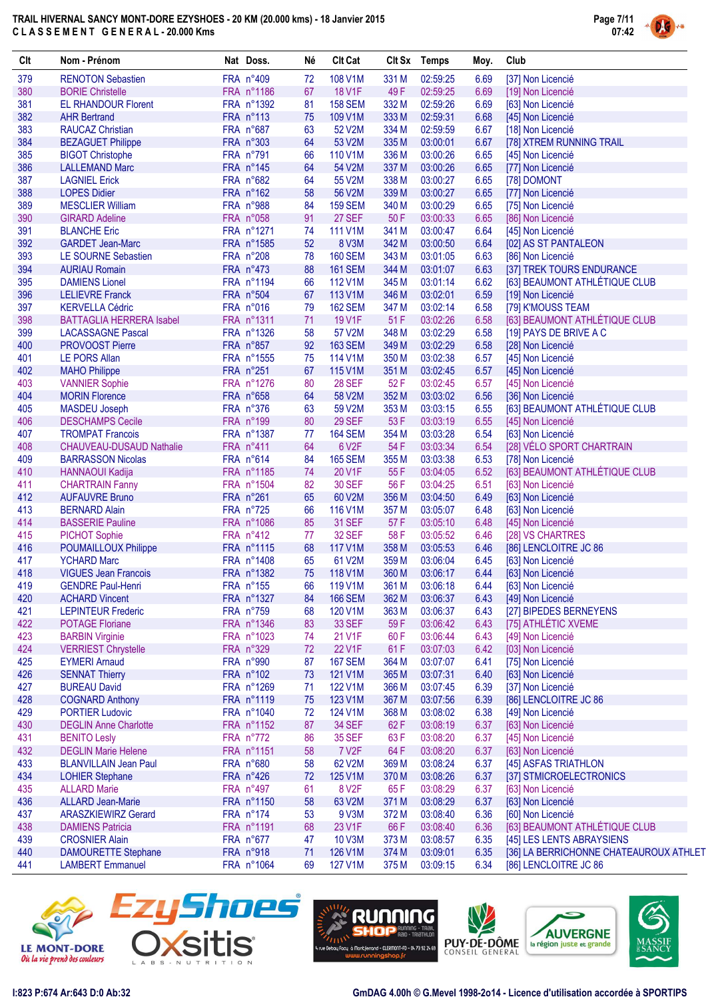

| Clt | Nom - Prénom                    | Nat Doss.  | Né | <b>Clt Cat</b>     | Clt Sx | Temps    | Moy. | Club                                   |
|-----|---------------------------------|------------|----|--------------------|--------|----------|------|----------------------------------------|
| 379 | <b>RENOTON Sebastien</b>        | FRA n°409  | 72 | 108 V1M            | 331 M  | 02:59:25 | 6.69 | [37] Non Licencié                      |
| 380 | <b>BORIE Christelle</b>         | FRA n°1186 | 67 | <b>18 V1F</b>      | 49F    | 02:59:25 | 6.69 | [19] Non Licencié                      |
| 381 | <b>EL RHANDOUR Florent</b>      | FRA n°1392 | 81 | <b>158 SEM</b>     | 332 M  | 02:59:26 | 6.69 | [63] Non Licencié                      |
| 382 | <b>AHR Bertrand</b>             | FRA n°113  | 75 | 109 V1M            | 333 M  | 02:59:31 | 6.68 | [45] Non Licencié                      |
| 383 | <b>RAUCAZ Christian</b>         | FRA n°687  | 63 | 52 V2M             | 334 M  | 02:59:59 | 6.67 | [18] Non Licencié                      |
| 384 | <b>BEZAGUET Philippe</b>        | FRA n°303  | 64 | 53 V2M             | 335 M  | 03:00:01 | 6.67 | [78] XTREM RUNNING TRAIL               |
| 385 | <b>BIGOT Christophe</b>         | FRA n°791  | 66 | 110 V1M            | 336 M  | 03:00:26 | 6.65 | [45] Non Licencié                      |
| 386 | <b>LALLEMAND Marc</b>           | FRA n°145  | 64 | 54 V2M             | 337 M  | 03:00:26 | 6.65 | [77] Non Licencié                      |
| 387 | <b>LAGNIEL Erick</b>            | FRA n°682  | 64 | 55 V2M             | 338 M  | 03:00:27 | 6.65 | [78] DOMONT                            |
| 388 | <b>LOPES Didier</b>             | FRA n°162  | 58 | 56 V2M             | 339 M  | 03:00:27 | 6.65 | [77] Non Licencié                      |
| 389 | <b>MESCLIER William</b>         | FRA n°988  | 84 | <b>159 SEM</b>     | 340 M  | 03:00:29 | 6.65 | [75] Non Licencié                      |
| 390 | <b>GIRARD Adeline</b>           | FRA n°058  | 91 | 27 SEF             | 50F    | 03:00:33 | 6.65 | [86] Non Licencié                      |
| 391 | <b>BLANCHE Eric</b>             | FRA n°1271 | 74 | 111 V1M            | 341 M  | 03:00:47 | 6.64 | [45] Non Licencié                      |
| 392 | <b>GARDET Jean-Marc</b>         | FRA n°1585 | 52 | 8 V3M              | 342 M  | 03:00:50 | 6.64 | [02] AS ST PANTALEON                   |
| 393 | <b>LE SOURNE Sebastien</b>      | FRA n°208  | 78 | <b>160 SEM</b>     | 343 M  | 03:01:05 | 6.63 | [86] Non Licencié                      |
| 394 | <b>AURIAU Romain</b>            | FRA n°473  | 88 | <b>161 SEM</b>     | 344 M  | 03:01:07 | 6.63 | [37] TREK TOURS ENDURANCE              |
| 395 | <b>DAMIENS Lionel</b>           | FRA n°1194 | 66 | 112 V1M            | 345 M  | 03:01:14 | 6.62 | [63] BEAUMONT ATHLÉTIQUE CLUB          |
| 396 | <b>LELIEVRE Franck</b>          | FRA n°504  | 67 | 113 V1M            | 346 M  | 03:02:01 | 6.59 | [19] Non Licencié                      |
| 397 | <b>KERVELLA Cédric</b>          | FRA n°016  | 79 | <b>162 SEM</b>     | 347 M  | 03:02:14 | 6.58 | [79] K'MOUSS TEAM                      |
| 398 | <b>BATTAGLIA HERRERA Isabel</b> | FRA n°1311 | 71 | 19 V1F             | 51 F   | 03:02:26 | 6.58 | [63] BEAUMONT ATHLÉTIQUE CLUB          |
| 399 | <b>LACASSAGNE Pascal</b>        | FRA n°1326 | 58 | 57 V2M             | 348 M  | 03:02:29 | 6.58 | [19] PAYS DE BRIVE A C                 |
| 400 | <b>PROVOOST Pierre</b>          | FRA n°857  | 92 | <b>163 SEM</b>     | 349 M  | 03:02:29 | 6.58 | [28] Non Licencié                      |
| 401 | <b>LE PORS Allan</b>            | FRA n°1555 | 75 | 114 V1M            | 350 M  | 03:02:38 | 6.57 | [45] Non Licencié                      |
| 402 | <b>MAHO Philippe</b>            | FRA n°251  | 67 | 115 V1M            | 351 M  | 03:02:45 | 6.57 | [45] Non Licencié                      |
| 403 | <b>VANNIER Sophie</b>           | FRA n°1276 | 80 | <b>28 SEF</b>      | 52F    | 03:02:45 | 6.57 | [45] Non Licencié                      |
| 404 | <b>MORIN Florence</b>           | FRA n°658  | 64 | 58 V2M             | 352 M  | 03:03:02 | 6.56 | [36] Non Licencié                      |
| 405 | <b>MASDEU Joseph</b>            | FRA n°376  | 63 | 59 V2M             | 353 M  | 03:03:15 | 6.55 | [63] BEAUMONT ATHLÉTIQUE CLUB          |
| 406 | <b>DESCHAMPS Cecile</b>         | FRA n°199  | 80 | 29 SEF             | 53F    | 03:03:19 | 6.55 | [45] Non Licencié                      |
| 407 | <b>TROMPAT Francois</b>         | FRA n°1387 | 77 | <b>164 SEM</b>     | 354 M  | 03:03:28 | 6.54 | [63] Non Licencié                      |
| 408 | <b>CHAUVEAU-DUSAUD Nathalie</b> | FRA n°411  | 64 | 6 V2F              | 54 F   | 03:03:34 | 6.54 | [28] VÉLO SPORT CHARTRAIN              |
| 409 | <b>BARRASSON Nicolas</b>        | FRA n°614  | 84 | <b>165 SEM</b>     | 355 M  | 03:03:38 | 6.53 | [78] Non Licencié                      |
| 410 | <b>HANNAOUI Kadija</b>          | FRA n°1185 | 74 | 20 V1F             | 55F    | 03:04:05 | 6.52 | [63] BEAUMONT ATHLÉTIQUE CLUB          |
| 411 | <b>CHARTRAIN Fanny</b>          | FRA n°1504 | 82 | <b>30 SEF</b>      | 56 F   | 03:04:25 | 6.51 | [63] Non Licencié                      |
| 412 | <b>AUFAUVRE Bruno</b>           | FRA n°261  | 65 | 60 V2M             | 356 M  | 03:04:50 | 6.49 | [63] Non Licencié                      |
| 413 | <b>BERNARD Alain</b>            | FRA n°725  | 66 | 116 V1M            | 357 M  | 03:05:07 | 6.48 | [63] Non Licencié                      |
| 414 | <b>BASSERIE Pauline</b>         | FRA n°1086 | 85 | <b>31 SEF</b>      | 57 F   | 03:05:10 | 6.48 | [45] Non Licencié                      |
| 415 | <b>PICHOT Sophie</b>            | FRA n°412  | 77 | <b>32 SEF</b>      | 58 F   | 03:05:52 | 6.46 | [28] VS CHARTRES                       |
| 416 | <b>POUMAILLOUX Philippe</b>     | FRA n°1115 | 68 | 117 V1M            | 358 M  | 03:05:53 | 6.46 | [86] LENCLOITRE JC 86                  |
| 417 | <b>YCHARD Marc</b>              | FRA n°1408 | 65 | 61 V2M             | 359 M  | 03:06:04 | 6.45 | [63] Non Licencié                      |
| 418 | <b>VIGUES Jean Francois</b>     | FRA n°1382 | 75 | 118 V1M            | 360 M  | 03:06:17 | 6.44 | [63] Non Licencié                      |
| 419 | <b>GENDRE Paul-Henri</b>        | FRA n°155  | 66 | 119 V1M            | 361 M  | 03:06:18 | 6.44 | [63] Non Licencié                      |
| 420 | <b>ACHARD Vincent</b>           | FRA n°1327 | 84 | <b>166 SEM</b>     | 362 M  | 03:06:37 | 6.43 | [49] Non Licencié                      |
| 421 | <b>LEPINTEUR Frederic</b>       | FRA n°759  | 68 | 120 V1M            | 363 M  | 03:06:37 | 6.43 | [27] BIPEDES BERNEYENS                 |
| 422 | <b>POTAGE Floriane</b>          | FRA n°1346 | 83 | <b>33 SEF</b>      | 59F    | 03:06:42 | 6.43 | [75] ATHLÉTIC XVEME                    |
| 423 | <b>BARBIN Virginie</b>          | FRA n°1023 | 74 | 21 V1F             | 60 F   | 03:06:44 | 6.43 | [49] Non Licencié                      |
| 424 | <b>VERRIEST Chrystelle</b>      | FRA n°329  | 72 | 22 V1F             | 61 F   | 03:07:03 | 6.42 | [03] Non Licencié                      |
| 425 | <b>EYMERI Arnaud</b>            | FRA n°990  | 87 | <b>167 SEM</b>     | 364 M  | 03:07:07 | 6.41 | [75] Non Licencié                      |
| 426 | <b>SENNAT Thierry</b>           | FRA n°102  | 73 | 121 V1M            | 365 M  | 03:07:31 | 6.40 | [63] Non Licencié                      |
| 427 | <b>BUREAU David</b>             | FRA n°1269 | 71 | 122 V1M            | 366 M  | 03:07:45 | 6.39 | [37] Non Licencié                      |
| 428 | <b>COGNARD Anthony</b>          | FRA n°1119 | 75 | 123 V1M            | 367 M  | 03:07:56 | 6.39 | [86] LENCLOITRE JC 86                  |
| 429 | <b>PORTIER Ludovic</b>          | FRA n°1040 | 72 | 124 V1M            | 368 M  | 03:08:02 | 6.38 | [49] Non Licencié                      |
| 430 | <b>DEGLIN Anne Charlotte</b>    | FRA n°1152 | 87 | <b>34 SEF</b>      | 62 F   | 03:08:19 | 6.37 | [63] Non Licencié                      |
| 431 | <b>BENITO Lesly</b>             | FRA n°772  | 86 | <b>35 SEF</b>      | 63F    | 03:08:20 | 6.37 | [45] Non Licencié                      |
| 432 | <b>DEGLIN Marie Helene</b>      | FRA n°1151 | 58 | <b>7 V2F</b>       | 64 F   | 03:08:20 | 6.37 | [63] Non Licencié                      |
| 433 | <b>BLANVILLAIN Jean Paul</b>    | FRA n°680  | 58 | 62 V2M             | 369 M  | 03:08:24 | 6.37 | [45] ASFAS TRIATHLON                   |
| 434 | <b>LOHIER Stephane</b>          | FRA n°426  | 72 | 125 V1M            | 370 M  | 03:08:26 | 6.37 | [37] STMICROELECTRONICS                |
| 435 | <b>ALLARD Marie</b>             | FRA n°497  | 61 | 8 V <sub>2</sub> F | 65F    | 03:08:29 | 6.37 | [63] Non Licencié                      |
| 436 | <b>ALLARD Jean-Marie</b>        | FRA n°1150 | 58 | 63 V2M             | 371 M  | 03:08:29 | 6.37 | [63] Non Licencié                      |
| 437 | <b>ARASZKIEWIRZ Gerard</b>      | FRA n°174  | 53 | 9 V3M              | 372 M  | 03:08:40 | 6.36 | [60] Non Licencié                      |
| 438 | <b>DAMIENS Patricia</b>         | FRA n°1191 | 68 | 23 V1F             | 66 F   | 03:08:40 | 6.36 | [63] BEAUMONT ATHLÉTIQUE CLUB          |
| 439 | <b>CROSNIER Alain</b>           | FRA n°677  | 47 | <b>10 V3M</b>      | 373 M  | 03:08:57 | 6.35 | [45] LES LENTS ABRAYSIENS              |
| 440 | <b>DAMOURETTE Stephane</b>      | FRA n°918  | 71 | 126 V1M            | 374 M  | 03:09:01 | 6.35 | [36] LA BERRICHONNE CHATEAUROUX ATHLET |
| 441 | <b>LAMBERT</b> Emmanuel         | FRA n°1064 | 69 | 127 V1M            | 375 M  | 03:09:15 | 6.34 | [86] LENCLOITRE JC 86                  |
|     |                                 |            |    |                    |        |          |      |                                        |









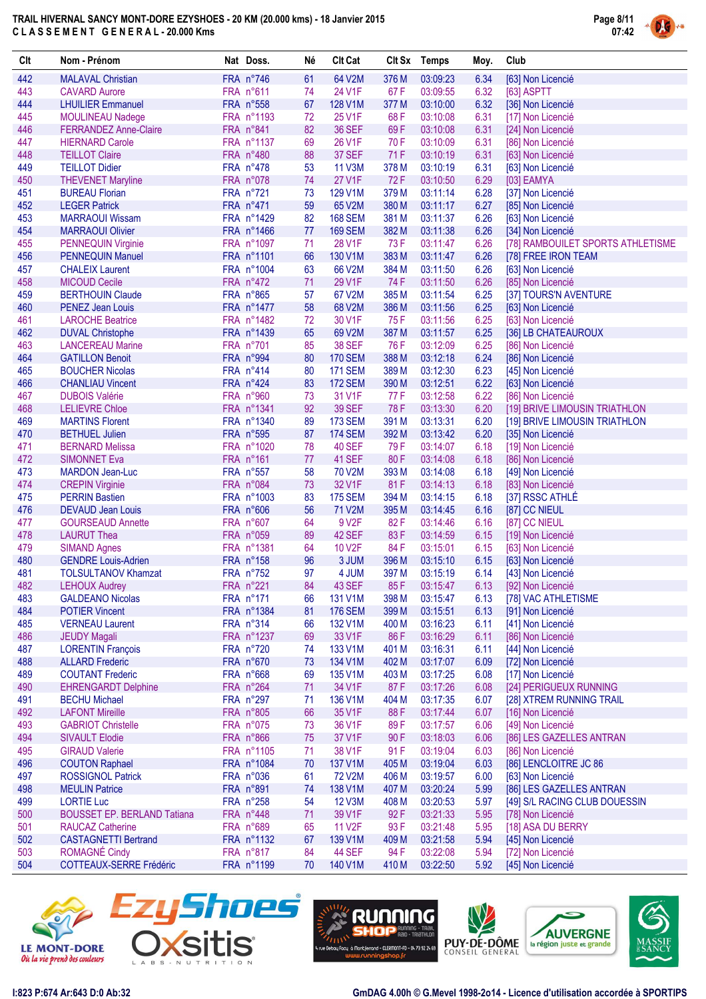

| Clt        | Nom - Prénom                                      | Nat Doss.                | Né       | <b>Clt Cat</b>                   |                | Clt Sx Temps         | Moy.         | Club                                       |
|------------|---------------------------------------------------|--------------------------|----------|----------------------------------|----------------|----------------------|--------------|--------------------------------------------|
| 442        | <b>MALAVAL Christian</b>                          | FRA n°746                | 61       | 64 V2M                           | 376 M          | 03:09:23             | 6.34         | [63] Non Licencié                          |
| 443        | <b>CAVARD Aurore</b>                              | FRA n°611                | 74       | 24 V1F                           | 67 F           | 03:09:55             | 6.32         | [63] ASPTT                                 |
| 444        | <b>LHUILIER Emmanuel</b>                          | FRA n°558                | 67       | 128 V1M                          | 377 M          | 03:10:00             | 6.32         | [36] Non Licencié                          |
| 445        | <b>MOULINEAU Nadege</b>                           | FRA n°1193               | 72       | 25 V1F                           | 68 F           | 03:10:08             | 6.31         | [17] Non Licencié                          |
| 446        | <b>FERRANDEZ Anne-Claire</b>                      | FRA n°841                | 82       | <b>36 SEF</b>                    | 69F            | 03:10:08             | 6.31         | [24] Non Licencié                          |
| 447        | <b>HIERNARD Carole</b>                            | FRA n°1137               | 69       | 26 V1F                           | 70 F           | 03:10:09             | 6.31         | [86] Non Licencié                          |
| 448<br>449 | <b>TEILLOT Claire</b><br><b>TEILLOT Didier</b>    | FRA n°480<br>FRA n°478   | 88<br>53 | 37 SEF<br><b>11 V3M</b>          | 71 F<br>378 M  | 03:10:19<br>03:10:19 | 6.31<br>6.31 | [63] Non Licencié<br>[63] Non Licencié     |
| 450        | <b>THEVENET Maryline</b>                          | FRA n°078                | 74       | <b>27 V1F</b>                    | 72F            | 03:10:50             | 6.29         | [03] EAMYA                                 |
| 451        | <b>BUREAU Florian</b>                             | FRA n°721                | 73       | 129 V1M                          | 379 M          | 03:11:14             | 6.28         | [37] Non Licencié                          |
| 452        | <b>LEGER Patrick</b>                              | FRA n°471                | 59       | 65 V2M                           | 380 M          | 03:11:17             | 6.27         | [85] Non Licencié                          |
| 453        | <b>MARRAOUI Wissam</b>                            | FRA n°1429               | 82       | <b>168 SEM</b>                   | 381 M          | 03:11:37             | 6.26         | [63] Non Licencié                          |
| 454        | <b>MARRAOUI Olivier</b>                           | FRA n°1466               | 77       | <b>169 SEM</b>                   | 382 M          | 03:11:38             | 6.26         | [34] Non Licencié                          |
| 455        | PENNEQUIN Virginie                                | FRA n°1097               | 71       | 28 V1F                           | 73F            | 03:11:47             | 6.26         | [78] RAMBOUILET SPORTS ATHLETISME          |
| 456        | <b>PENNEQUIN Manuel</b>                           | FRA n°1101               | 66       | 130 V1M                          | 383 M          | 03:11:47             | 6.26         | [78] FREE IRON TEAM                        |
| 457        | <b>CHALEIX Laurent</b>                            | FRA n°1004               | 63       | 66 V2M                           | 384 M          | 03:11:50             | 6.26         | [63] Non Licencié                          |
| 458        | <b>MICOUD Cecile</b>                              | FRA n°472                | 71       | 29 V1F                           | 74 F           | 03:11:50             | 6.26         | [85] Non Licencié                          |
| 459        | <b>BERTHOUIN Claude</b>                           | FRA n°865                | 57       | 67 V2M                           | 385 M          | 03:11:54             | 6.25         | [37] TOURS'N AVENTURE                      |
| 460        | <b>PENEZ Jean Louis</b>                           | FRA n°1477               | 58       | 68 V2M                           | 386 M          | 03:11:56             | 6.25         | [63] Non Licencié                          |
| 461        | <b>LAROCHE Beatrice</b>                           | FRA n°1482               | 72       | 30 V1F                           | 75 F           | 03:11:56             | 6.25         | [63] Non Licencié                          |
| 462        | <b>DUVAL Christophe</b>                           | FRA n°1439               | 65       | 69 V2M                           | 387 M          | 03:11:57             | 6.25         | [36] LB CHATEAUROUX                        |
| 463        | <b>LANCEREAU Marine</b>                           | FRA n°701                | 85       | <b>38 SEF</b>                    | 76 F           | 03:12:09             | 6.25         | [86] Non Licencié                          |
| 464<br>465 | <b>GATILLON Benoit</b>                            | FRA n°994                | 80       | <b>170 SEM</b>                   | 388 M          | 03:12:18             | 6.24<br>6.23 | [86] Non Licencié                          |
| 466        | <b>BOUCHER Nicolas</b><br><b>CHANLIAU Vincent</b> | FRA n°414<br>FRA n°424   | 80<br>83 | <b>171 SEM</b><br><b>172 SEM</b> | 389 M<br>390 M | 03:12:30<br>03:12:51 | 6.22         | [45] Non Licencié<br>[63] Non Licencié     |
| 467        | <b>DUBOIS Valérie</b>                             | FRA n°960                | 73       | 31 V1F                           | 77 F           | 03:12:58             | 6.22         | [86] Non Licencié                          |
| 468        | <b>LELIEVRE Chloe</b>                             | FRA n°1341               | 92       | <b>39 SEF</b>                    | 78F            | 03:13:30             | 6.20         | [19] BRIVE LIMOUSIN TRIATHLON              |
| 469        | <b>MARTINS Florent</b>                            | FRA n°1340               | 89       | <b>173 SEM</b>                   | 391 M          | 03:13:31             | 6.20         | [19] BRIVE LIMOUSIN TRIATHLON              |
| 470        | <b>BETHUEL Julien</b>                             | FRA n°595                | 87       | <b>174 SEM</b>                   | 392 M          | 03:13:42             | 6.20         | [35] Non Licencié                          |
| 471        | <b>BERNARD Melissa</b>                            | FRA n°1020               | 78       | <b>40 SEF</b>                    | 79F            | 03:14:07             | 6.18         | [19] Non Licencié                          |
| 472        | <b>SIMONNET Eva</b>                               | FRA n°161                | 77       | 41 SEF                           | 80F            | 03:14:08             | 6.18         | [86] Non Licencié                          |
| 473        | <b>MARDON Jean-Luc</b>                            | FRA n°557                | 58       | 70 V2M                           | 393 M          | 03:14:08             | 6.18         | [49] Non Licencié                          |
| 474        | <b>CREPIN Virginie</b>                            | FRA n°084                | 73       | 32 V1F                           | 81F            | 03:14:13             | 6.18         | [83] Non Licencié                          |
| 475        | <b>PERRIN Bastien</b>                             | FRA n°1003               | 83       | <b>175 SEM</b>                   | 394 M          | 03:14:15             | 6.18         | [37] RSSC ATHLÉ                            |
| 476        | <b>DEVAUD Jean Louis</b>                          | FRA n°606                | 56       | 71 V2M                           | 395 M          | 03:14:45             | 6.16         | [87] CC NIEUL                              |
| 477        | <b>GOURSEAUD Annette</b>                          | FRA n°607                | 64       | 9 V <sub>2</sub> F               | 82F            | 03:14:46             | 6.16         | [87] CC NIEUL                              |
| 478        | <b>LAURUT Thea</b>                                | FRA n°059                | 89       | 42 SEF                           | 83F            | 03:14:59             | 6.15         | [19] Non Licencié                          |
| 479<br>480 | <b>SIMAND Agnes</b><br><b>GENDRE Louis-Adrien</b> | FRA n°1381<br>FRA n°158  | 64<br>96 | 10 V2F<br>3 JUM                  | 84 F<br>396 M  | 03:15:01<br>03:15:10 | 6.15<br>6.15 | [63] Non Licencié                          |
| 481        | <b>TOLSULTANOV Khamzat</b>                        | FRA n°752                | 97       | 4 JUM                            | 397 M          | 03:15:19             | 6.14         | [63] Non Licencié<br>[43] Non Licencié     |
| 482        | <b>LEHOUX Audrey</b>                              | FRA n°221                | 84       | 43 SEF                           | 85F            | 03:15:47             | 6.13         | [92] Non Licencié                          |
| 483        | <b>GALDEANO Nicolas</b>                           | FRA n°171                | 66       | 131 V1M                          | 398 M          | 03:15:47             | 6.13         | [78] VAC ATHLETISME                        |
| 484        | <b>POTIER Vincent</b>                             | FRA n°1384               | 81       | <b>176 SEM</b>                   | 399 M          | 03:15:51             | 6.13         | [91] Non Licencié                          |
| 485        | <b>VERNEAU Laurent</b>                            | FRA n°314                | 66       | 132 V1M                          | 400 M          | 03:16:23             | 6.11         | [41] Non Licencié                          |
| 486        | <b>JEUDY Magali</b>                               | FRA n°1237               | 69       | 33 V1F                           | 86 F           | 03:16:29             | 6.11         | [86] Non Licencié                          |
| 487        | <b>LORENTIN François</b>                          | FRA n°720                | 74       | 133 V1M                          | 401 M          | 03:16:31             | 6.11         | [44] Non Licencié                          |
| 488        | <b>ALLARD Frederic</b>                            | FRA n°670                | 73       | 134 V1M                          | 402 M          | 03:17:07             | 6.09         | [72] Non Licencié                          |
| 489        | <b>COUTANT Frederic</b>                           | FRA n°668                | 69       | 135 V1M                          | 403 M          | 03:17:25             | 6.08         | [17] Non Licencié                          |
| 490        | <b>EHRENGARDT Delphine</b>                        | FRA n°264                | 71       | 34 V1F                           | 87F            | 03:17:26             | 6.08         | [24] PERIGUEUX RUNNING                     |
| 491        | <b>BECHU Michael</b>                              | FRA n°297                | 71       | 136 V1M                          | 404 M          | 03:17:35             | 6.07         | [28] XTREM RUNNING TRAIL                   |
| 492        | <b>LAFONT Mireille</b>                            | FRA n°805                | 66       | 35 V1F                           | 88F            | 03:17:44             | 6.07         | [16] Non Licencié                          |
| 493        | <b>GABRIOT Christelle</b>                         | FRA n°075<br>FRA n°866   | 73       | 36 V1F                           | 89 F           | 03:17:57             | 6.06         | [49] Non Licencié                          |
| 494        | <b>SIVAULT Elodie</b>                             |                          | 75       | 37 V1F                           | 90F            | 03:18:03             | 6.06         | [86] LES GAZELLES ANTRAN                   |
| 495<br>496 | <b>GIRAUD Valerie</b><br><b>COUTON Raphael</b>    | FRA n°1105<br>FRA n°1084 | 71<br>70 | 38 V1F<br>137 V1M                | 91 F<br>405 M  | 03:19:04<br>03:19:04 | 6.03<br>6.03 | [86] Non Licencié<br>[86] LENCLOITRE JC 86 |
| 497        | <b>ROSSIGNOL Patrick</b>                          | FRA n°036                | 61       | <b>72 V2M</b>                    | 406 M          | 03:19:57             | 6.00         | [63] Non Licencié                          |
| 498        | <b>MEULIN Patrice</b>                             | FRA n°891                | 74       | 138 V1M                          | 407 M          | 03:20:24             | 5.99         | [86] LES GAZELLES ANTRAN                   |
| 499        | <b>LORTIE Luc</b>                                 | FRA n°258                | 54       | <b>12 V3M</b>                    | 408 M          | 03:20:53             | 5.97         | [49] S/L RACING CLUB DOUESSIN              |
| 500        | <b>BOUSSET EP. BERLAND Tatiana</b>                | FRA n°448                | 71       | 39 V1F                           | 92 F           | 03:21:33             | 5.95         | [78] Non Licencié                          |
| 501        | <b>RAUCAZ Catherine</b>                           | FRA n°689                | 65       | 11 V <sub>2</sub> F              | 93 F           | 03:21:48             | 5.95         | [18] ASA DU BERRY                          |
| 502        | <b>CASTAGNETTI Bertrand</b>                       | FRA n°1132               | 67       | 139 V1M                          | 409 M          | 03:21:58             | 5.94         | [45] Non Licencié                          |
| 503        | ROMAGNÉ Cindy                                     | FRA n°817                | 84       | <b>44 SEF</b>                    | 94 F           | 03:22:08             | 5.94         | [72] Non Licencié                          |
| 504        | COTTEAUX-SERRE Frédéric                           | FRA n°1199               | 70       | 140 V1M                          | 410 M          | 03:22:50             | 5.92         | [45] Non Licencié                          |









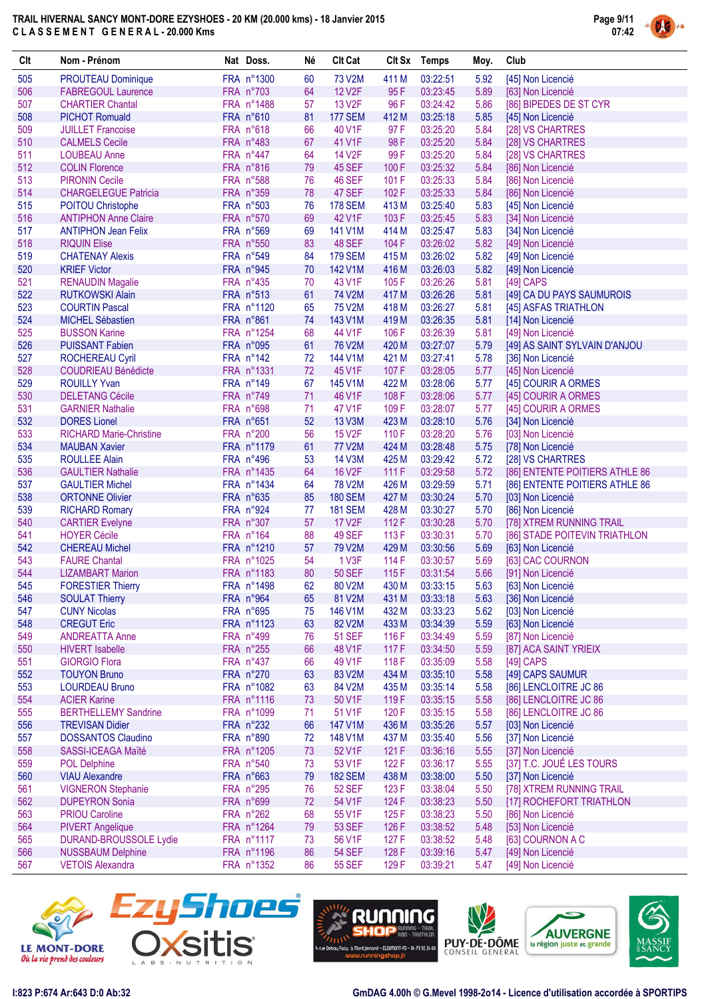

| Clt        | Nom - Prénom                                              | Nat Doss.                | Né       | <b>Clt Cat</b>                |                | Clt Sx Temps         | Moy.         | Club                                               |
|------------|-----------------------------------------------------------|--------------------------|----------|-------------------------------|----------------|----------------------|--------------|----------------------------------------------------|
| 505        | <b>PROUTEAU Dominique</b>                                 | FRA n°1300               | 60       | 73 V2M                        | 411 M          | 03:22:51             | 5.92         | [45] Non Licencié                                  |
| 506        | <b>FABREGOUL Laurence</b>                                 | FRA n°703                | 64       | <b>12 V2F</b>                 | 95F            | 03:23:45             | 5.89         | [63] Non Licencié                                  |
| 507        | <b>CHARTIER Chantal</b>                                   | FRA n°1488               | 57       | 13 V <sub>2</sub> F           | 96 F           | 03:24:42             | 5.86         | [86] BIPEDES DE ST CYR                             |
| 508        | <b>PICHOT Romuald</b>                                     | FRA n°610                | 81       | <b>177 SEM</b>                | 412 M          | 03:25:18             | 5.85         | [45] Non Licencié                                  |
| 509        | <b>JUILLET Francoise</b>                                  | FRA n°618                | 66       | 40 V1F                        | 97F            | 03:25:20             | 5.84         | [28] VS CHARTRES                                   |
| 510        | <b>CALMELS Cecile</b>                                     | FRA n°483                | 67       | 41 V1F                        | 98F            | 03:25:20             | 5.84         | [28] VS CHARTRES                                   |
| 511        | <b>LOUBEAU Anne</b>                                       | FRA n°447                | 64       | 14 V <sub>2</sub> F           | 99F            | 03:25:20             | 5.84         | [28] VS CHARTRES                                   |
| 512        | <b>COLIN Florence</b>                                     | FRA n°816                | 79       | <b>45 SEF</b>                 | 100 F          | 03:25:32             | 5.84         | [86] Non Licencié                                  |
| 513        | <b>PIRONIN Cecile</b>                                     | FRA n°588                | 76       | <b>46 SEF</b>                 | 101 F          | 03:25:33             | 5.84         | [86] Non Licencié                                  |
| 514        | <b>CHARGELEGUE Patricia</b>                               | FRA n°359                | 78       | 47 SEF                        | 102F           | 03:25:33             | 5.84         | [86] Non Licencié                                  |
| 515        | <b>POITOU Christophe</b>                                  | FRA n°503                | 76       | <b>178 SEM</b>                | 413 M          | 03:25:40             | 5.83         | [45] Non Licencié                                  |
| 516<br>517 | <b>ANTIPHON Anne Claire</b><br><b>ANTIPHON Jean Felix</b> | FRA n°570<br>FRA n°569   | 69<br>69 | 42 V1F<br>141 V1M             | 103 F<br>414 M | 03:25:45<br>03:25:47 | 5.83<br>5.83 | [34] Non Licencié                                  |
| 518        | <b>RIQUIN Elise</b>                                       | FRA n°550                | 83       | 48 SEF                        | 104 F          | 03:26:02             | 5.82         | [34] Non Licencié<br>[49] Non Licencié             |
| 519        | <b>CHATENAY Alexis</b>                                    | FRA n°549                | 84       | <b>179 SEM</b>                | 415 M          | 03:26:02             | 5.82         | [49] Non Licencié                                  |
| 520        | <b>KRIEF Victor</b>                                       | FRA n°945                | 70       | 142 V1M                       | 416 M          | 03:26:03             | 5.82         | [49] Non Licencié                                  |
| 521        | <b>RENAUDIN Magalie</b>                                   | FRA n°435                | 70       | 43 V1F                        | 105F           | 03:26:26             | 5.81         | $[49]$ CAPS                                        |
| 522        | <b>RUTKOWSKI Alain</b>                                    | FRA n°513                | 61       | 74 V2M                        | 417 M          | 03:26:26             | 5.81         | [49] CA DU PAYS SAUMUROIS                          |
| 523        | <b>COURTIN Pascal</b>                                     | FRA n°1120               | 65       | 75 V2M                        | 418 M          | 03:26:27             | 5.81         | [45] ASFAS TRIATHLON                               |
| 524        | <b>MICHEL Sébastien</b>                                   | FRA n°861                | 74       | 143 V1M                       | 419 M          | 03:26:35             | 5.81         | [14] Non Licencié                                  |
| 525        | <b>BUSSON Karine</b>                                      | FRA n°1254               | 68       | 44 V1F                        | 106 F          | 03:26:39             | 5.81         | [49] Non Licencié                                  |
| 526        | <b>PUISSANT Fabien</b>                                    | FRA n°095                | 61       | 76 V2M                        | 420 M          | 03:27:07             | 5.79         | [49] AS SAINT SYLVAIN D'ANJOU                      |
| 527        | <b>ROCHEREAU Cyril</b>                                    | FRA n°142                | 72       | 144 V1M                       | 421 M          | 03:27:41             | 5.78         | [36] Non Licencié                                  |
| 528        | <b>COUDRIEAU Bénédicte</b>                                | FRA n°1331               | 72       | 45 V1F                        | 107 F          | 03:28:05             | 5.77         | [45] Non Licencié                                  |
| 529        | <b>ROUILLY Yvan</b>                                       | FRA n°149                | 67       | 145 V1M                       | 422 M          | 03:28:06             | 5.77         | [45] COURIR A ORMES                                |
| 530        | <b>DELETANG Cécile</b>                                    | FRA n°749                | 71       | 46 V1F                        | 108 F          | 03:28:06             | 5.77         | [45] COURIR A ORMES                                |
| 531        | <b>GARNIER Nathalie</b>                                   | FRA n°698                | 71       | 47 V1F                        | 109 F          | 03:28:07             | 5.77         | [45] COURIR A ORMES                                |
| 532        | <b>DORES</b> Lionel                                       | FRA n°651                | 52       | 13 V3M                        | 423 M          | 03:28:10             | 5.76         | [34] Non Licencié                                  |
| 533        | <b>RICHARD Marie-Christine</b>                            | FRA n°200                | 56       | <b>15 V2F</b>                 | 110 F          | 03:28:20             | 5.76         | [03] Non Licencié                                  |
| 534        | <b>MAUBAN Xavier</b>                                      | FRA n°1179               | 61       | 77 V2M                        | 424 M          | 03:28:48             | 5.75         | [78] Non Licencié                                  |
| 535        | <b>ROULLEE Alain</b>                                      | FRA n°496                | 53       | 14 V3M                        | 425 M          | 03:29:42             | 5.72         | [28] VS CHARTRES                                   |
| 536        | <b>GAULTIER Nathalie</b>                                  | FRA n°1435               | 64       | <b>16 V2F</b>                 | 111 F          | 03:29:58             | 5.72         | [86] ENTENTE POITIERS ATHLE 86                     |
| 537        | <b>GAULTIER Michel</b>                                    | FRA n°1434               | 64       | 78 V2M                        | 426 M          | 03:29:59             | 5.71         | [86] ENTENTE POITIERS ATHLE 86                     |
| 538        | <b>ORTONNE Olivier</b>                                    | FRA n°635                | 85       | <b>180 SEM</b>                | 427 M          | 03:30:24             | 5.70         | [03] Non Licencié                                  |
| 539        | <b>RICHARD Romary</b>                                     | FRA n°924                | 77       | <b>181 SEM</b>                | 428 M          | 03:30:27             | 5.70         | [86] Non Licencié                                  |
| 540<br>541 | <b>CARTIER Evelyne</b><br><b>HOYER Cécile</b>             | FRA n°307<br>FRA n°164   | 57<br>88 | 17 V <sub>2</sub> F<br>49 SEF | 112 F<br>113F  | 03:30:28<br>03:30:31 | 5.70<br>5.70 | [78] XTREM RUNNING TRAIL                           |
| 542        | <b>CHEREAU Michel</b>                                     | FRA n°1210               | 57       | 79 V2M                        | 429 M          | 03:30:56             | 5.69         | [86] STADE POITEVIN TRIATHLON<br>[63] Non Licencié |
| 543        | <b>FAURE Chantal</b>                                      | FRA n°1025               | 54       | 1 V3F                         | 114 F          | 03:30:57             | 5.69         | [63] CAC COURNON                                   |
| 544        | <b>LIZAMBART Marion</b>                                   | FRA n°1183               | 80       | <b>50 SEF</b>                 | 115F           | 03:31:54             | 5.66         | [91] Non Licencié                                  |
| 545        | <b>FORESTIER Thierry</b>                                  | FRA n°1498               | 62       | 80 V <sub>2</sub> M           | 430 M          | 03:33:15             | 5.63         | [63] Non Licencié                                  |
| 546        | <b>SOULAT Thierry</b>                                     | FRA n°964                | 65       | 81 V2M                        | 431 M          | 03:33:18             | 5.63         | [36] Non Licencié                                  |
| 547        | <b>CUNY Nicolas</b>                                       | FRA n°695                | 75       | 146 V1M                       | 432 M          | 03:33:23             | 5.62         | [03] Non Licencié                                  |
| 548        | <b>CREGUT Eric</b>                                        | FRA n°1123               | 63       | 82 V2M                        | 433 M          | 03:34:39             | 5.59         | [63] Non Licencié                                  |
| 549        | <b>ANDREATTA Anne</b>                                     | FRA n°499                | 76       | <b>51 SEF</b>                 | 116 F          | 03:34:49             | 5.59         | [87] Non Licencié                                  |
| 550        | <b>HIVERT</b> Isabelle                                    | FRA n°255                | 66       | 48 V1F                        | 117 F          | 03:34:50             | 5.59         | [87] ACA SAINT YRIEIX                              |
| 551        | <b>GIORGIO Flora</b>                                      | FRA n°437                | 66       | 49 V1F                        | 118F           | 03:35:09             | 5.58         | [49] CAPS                                          |
| 552        | <b>TOUYON Bruno</b>                                       | FRA n°270                | 63       | 83 V2M                        | 434 M          | 03:35:10             | 5.58         | [49] CAPS SAUMUR                                   |
| 553        | <b>LOURDEAU Bruno</b>                                     | FRA n°1082               | 63       | 84 V2M                        | 435 M          | 03:35:14             | 5.58         | [86] LENCLOITRE JC 86                              |
| 554        | <b>ACIER Karine</b>                                       | FRA n°1116               | 73       | 50 V1F                        | 119F           | 03:35:15             | 5.58         | [86] LENCLOITRE JC 86                              |
| 555        | <b>BERTHELLEMY Sandrine</b>                               | FRA n°1099               | 71       | 51 V1F                        | 120 F          | 03:35:15             | 5.58         | [86] LENCLOITRE JC 86                              |
| 556        | <b>TREVISAN Didier</b>                                    | FRA n°232                | 66       | 147 V1M                       | 436 M          | 03:35:26             | 5.57         | [03] Non Licencié                                  |
| 557        | <b>DOSSANTOS Claudino</b>                                 | FRA n°890                | 72       | 148 V1M                       | 437 M          | 03:35:40             | 5.56         | [37] Non Licencié                                  |
| 558        | <b>SASSI-ICEAGA Maïté</b>                                 | FRA n°1205               | 73       | 52 V1F                        | 121 F          | 03:36:16             | 5.55         | [37] Non Licencié                                  |
| 559        | <b>POL Delphine</b>                                       | FRA n°540                | 73       | 53 V1F                        | 122F           | 03:36:17             | 5.55         | [37] T.C. JOUÉ LES TOURS                           |
| 560        | <b>VIAU Alexandre</b>                                     | FRA n°663                | 79       | <b>182 SEM</b>                | 438 M          | 03:38:00             | 5.50         | [37] Non Licencié                                  |
| 561        | <b>VIGNERON Stephanie</b>                                 | FRA n°295                | 76       | <b>52 SEF</b>                 | 123 F          | 03:38:04             | 5.50         | [78] XTREM RUNNING TRAIL                           |
| 562        | <b>DUPEYRON Sonia</b>                                     | FRA n°699                | 72       | 54 V1F                        | 124 F          | 03:38:23             | 5.50         | [17] ROCHEFORT TRIATHLON                           |
| 563<br>564 | <b>PRIOU Caroline</b>                                     | FRA n°262                | 68<br>79 | 55 V1F<br><b>53 SEF</b>       | 125F<br>126 F  | 03:38:23<br>03:38:52 | 5.50         | [86] Non Licencié                                  |
| 565        | <b>PIVERT Angelique</b><br>DURAND-BROUSSOLE Lydie         | FRA n°1264<br>FRA n°1117 | 73       | 56 V1F                        | 127 F          | 03:38:52             | 5.48<br>5.48 | [53] Non Licencié<br>[63] COURNON A C              |
| 566        | <b>NUSSBAUM Delphine</b>                                  | FRA n°1196               | 86       | <b>54 SEF</b>                 | 128 F          | 03:39:16             | 5.47         | [49] Non Licencié                                  |
| 567        | <b>VETOIS Alexandra</b>                                   | FRA n°1352               | 86       | <b>55 SEF</b>                 | 129F           | 03:39:21             | 5.47         | [49] Non Licencié                                  |
|            |                                                           |                          |          |                               |                |                      |              |                                                    |









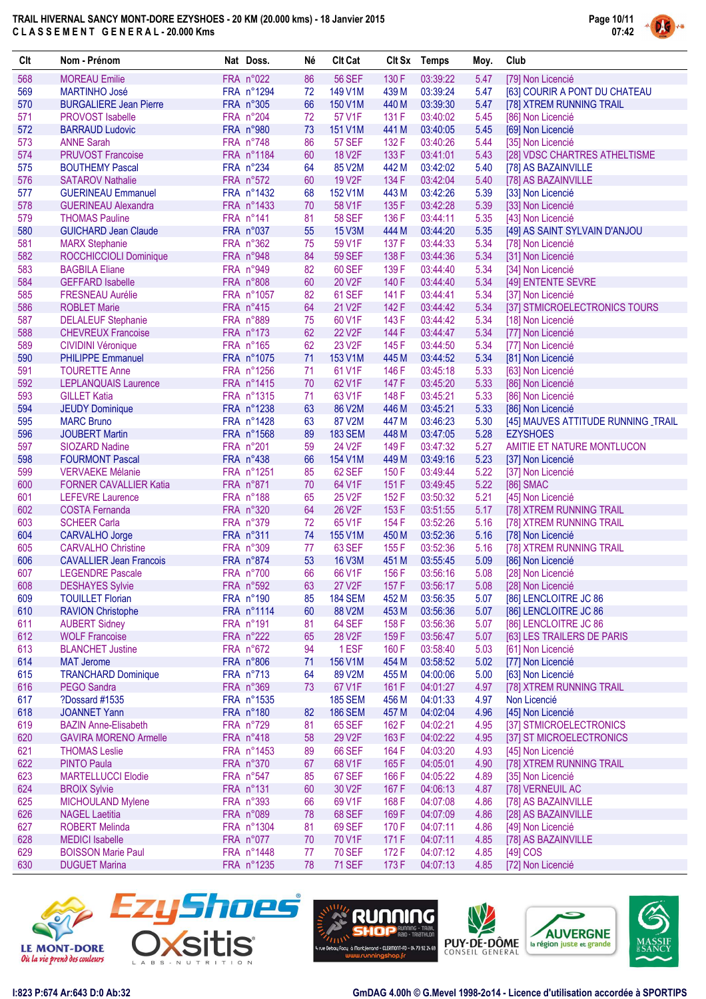

| Clt        | Nom - Prénom                                         | Nat Doss.              | Né       | <b>Clt Cat</b>                 |                | Clt Sx Temps         | Moy.         | Club                                               |
|------------|------------------------------------------------------|------------------------|----------|--------------------------------|----------------|----------------------|--------------|----------------------------------------------------|
| 568        | <b>MOREAU Emilie</b>                                 | FRA n°022              | 86       | <b>56 SEF</b>                  | 130 F          | 03:39:22             | 5.47         | [79] Non Licencié                                  |
| 569        | <b>MARTINHO José</b>                                 | FRA n°1294             | 72       | 149 V1M                        | 439 M          | 03:39:24             | 5.47         | [63] COURIR A PONT DU CHATEAU                      |
| 570        | <b>BURGALIERE Jean Pierre</b>                        | FRA n°305              | 66       | 150 V1M                        | 440 M          | 03:39:30             | 5.47         | [78] XTREM RUNNING TRAIL                           |
| 571        | <b>PROVOST Isabelle</b>                              | FRA n°204              | 72       | 57 V1F                         | 131 F          | 03:40:02             | 5.45         | [86] Non Licencié                                  |
| 572        | <b>BARRAUD Ludovic</b>                               | FRA n°980              | 73       | 151 V1M                        | 441 M          | 03:40:05             | 5.45         | [69] Non Licencié                                  |
| 573        | <b>ANNE Sarah</b>                                    | FRA n°748              | 86       | <b>57 SEF</b>                  | 132 F          | 03:40:26             | 5.44         | [35] Non Licencié                                  |
| 574        | <b>PRUVOST Francoise</b>                             | FRA n°1184             | 60       | <b>18 V2F</b>                  | 133 F          | 03:41:01             | 5.43         | [28] VDSC CHARTRES ATHELTISME                      |
| 575        | <b>BOUTHEMY Pascal</b>                               | FRA n°234              | 64       | 85 V2M                         | 442 M          | 03:42:02             | 5.40         | [78] AS BAZAINVILLE                                |
| 576        | <b>SATAROV Nathalie</b>                              | FRA n°572              | 60       | 19 V2F                         | 134 F          | 03:42:04             | 5.40         | [78] AS BAZAINVILLE                                |
| 577        | <b>GUERINEAU Emmanuel</b>                            | FRA n°1432             | 68       | 152 V1M                        | 443 M          | 03:42:26             | 5.39         | [33] Non Licencié                                  |
| 578        | <b>GUERINEAU Alexandra</b>                           | FRA n°1433             | 70       | 58 V1F                         | 135 F          | 03:42:28             | 5.39         | [33] Non Licencié                                  |
| 579<br>580 | <b>THOMAS Pauline</b>                                | FRA n°141<br>FRA n°037 | 81<br>55 | <b>58 SEF</b><br><b>15 V3M</b> | 136 F<br>444 M | 03:44:11<br>03:44:20 | 5.35<br>5.35 | [43] Non Licencié<br>[49] AS SAINT SYLVAIN D'ANJOU |
| 581        | <b>GUICHARD Jean Claude</b><br><b>MARX Stephanie</b> | FRA n°362              | 75       | 59 V1F                         | 137 F          | 03:44:33             | 5.34         | [78] Non Licencié                                  |
| 582        | ROCCHICCIOLI Dominique                               | FRA n°948              | 84       | <b>59 SEF</b>                  | 138 F          | 03:44:36             | 5.34         | [31] Non Licencié                                  |
| 583        | <b>BAGBILA Eliane</b>                                | FRA n°949              | 82       | <b>60 SEF</b>                  | 139 F          | 03:44:40             | 5.34         | [34] Non Licencié                                  |
| 584        | <b>GEFFARD Isabelle</b>                              | FRA n°808              | 60       | 20 V2F                         | 140 F          | 03:44:40             | 5.34         | [49] ENTENTE SEVRE                                 |
| 585        | <b>FRESNEAU Aurélie</b>                              | FRA n°1057             | 82       | <b>61 SEF</b>                  | 141 F          | 03:44:41             | 5.34         | [37] Non Licencié                                  |
| 586        | <b>ROBLET Marie</b>                                  | FRA n°415              | 64       | 21 V2F                         | 142 F          | 03:44:42             | 5.34         | [37] STMICROELECTRONICS TOURS                      |
| 587        | <b>DELALEUF Stephanie</b>                            | FRA n°889              | 75       | 60 V1F                         | 143 F          | 03:44:42             | 5.34         | [18] Non Licencié                                  |
| 588        | <b>CHEVREUX Francoise</b>                            | FRA n°173              | 62       | <b>22 V2F</b>                  | 144 F          | 03:44:47             | 5.34         | [77] Non Licencié                                  |
| 589        | <b>CIVIDINI Véronique</b>                            | FRA n°165              | 62       | 23 V <sub>2</sub> F            | 145 F          | 03:44:50             | 5.34         | [77] Non Licencié                                  |
| 590        | <b>PHILIPPE Emmanuel</b>                             | FRA n°1075             | 71       | 153 V1M                        | 445 M          | 03:44:52             | 5.34         | [81] Non Licencié                                  |
| 591        | <b>TOURETTE Anne</b>                                 | FRA n°1256             | 71       | 61 V1F                         | 146 F          | 03:45:18             | 5.33         | [63] Non Licencié                                  |
| 592        | <b>LEPLANQUAIS Laurence</b>                          | FRA n°1415             | 70       | 62 V1F                         | 147 F          | 03:45:20             | 5.33         | [86] Non Licencié                                  |
| 593        | <b>GILLET Katia</b>                                  | FRA n°1315             | 71       | 63 V1F                         | 148 F          | 03:45:21             | 5.33         | [86] Non Licencié                                  |
| 594        | <b>JEUDY Dominique</b>                               | FRA n°1238             | 63       | 86 V2M                         | 446 M          | 03:45:21             | 5.33         | [86] Non Licencié                                  |
| 595        | <b>MARC Bruno</b>                                    | FRA n°1428             | 63       | 87 V2M                         | 447 M          | 03:46:23             | 5.30         | [45] MAUVES ATTITUDE RUNNING _TRAIL                |
| 596        | <b>JOUBERT Martin</b>                                | FRA n°1568             | 89       | <b>183 SEM</b>                 | 448 M          | 03:47:05             | 5.28         | <b>EZYSHOES</b>                                    |
| 597        | <b>SIOZARD Nadine</b>                                | FRA n°201              | 59       | 24 V <sub>2F</sub>             | 149 F          | 03:47:32             | 5.27         | AMITIE ET NATURE MONTLUCON                         |
| 598        | <b>FOURMONT Pascal</b>                               | FRA n°438              | 66       | 154 V1M                        | 449 M          | 03:49:16             | 5.23         | [37] Non Licencié                                  |
| 599        | <b>VERVAEKE Mélanie</b>                              | FRA n°1251             | 85       | 62 SEF                         | 150 F          | 03:49:44             | 5.22         | [37] Non Licencié                                  |
| 600        | <b>FORNER CAVALLIER Katia</b>                        | FRA n°871              | 70       | 64 V1F                         | 151 F          | 03:49:45             | 5.22         | [86] SMAC                                          |
| 601        | <b>LEFEVRE Laurence</b>                              | FRA n°188              | 65       | 25 V2F                         | 152 F          | 03:50:32             | 5.21         | [45] Non Licencié                                  |
| 602        | <b>COSTA Fernanda</b>                                | FRA n°320              | 64       | <b>26 V2F</b>                  | 153 F          | 03:51:55             | 5.17         | [78] XTREM RUNNING TRAIL                           |
| 603        | <b>SCHEER Carla</b>                                  | FRA n°379              | 72       | 65 V1F                         | 154 F          | 03:52:26             | 5.16         | [78] XTREM RUNNING TRAIL                           |
| 604        | <b>CARVALHO Jorge</b>                                | FRA n°311              | 74       | 155 V1M                        | 450 M          | 03:52:36             | 5.16         | [78] Non Licencié                                  |
| 605        | <b>CARVALHO Christine</b>                            | FRA n°309              | 77       | <b>63 SEF</b>                  | 155 F          | 03:52:36             | 5.16         | [78] XTREM RUNNING TRAIL                           |
| 606        | <b>CAVALLIER Jean Francois</b>                       | FRA n°874              | 53       | <b>16 V3M</b>                  | 451 M          | 03:55:45             | 5.09         | [86] Non Licencié                                  |
| 607        | <b>LEGENDRE Pascale</b>                              | FRA n°700              | 66<br>63 | 66 V1F                         | 156 F          | 03:56:16             | 5.08         | [28] Non Licencié                                  |
| 608<br>609 | <b>DESHAYES Sylvie</b><br><b>TOUILLET Florian</b>    | FRA n°592<br>FRA n°190 | 85       | 27 V2F<br><b>184 SEM</b>       | 157 F<br>452 M | 03:56:17<br>03:56:35 | 5.08<br>5.07 | [28] Non Licencié<br>[86] LENCLOITRE JC 86         |
| 610        | <b>RAVION Christophe</b>                             | FRA n°1114             | 60       | 88 V2M                         | 453 M          | 03:56:36             | 5.07         | [86] LENCLOITRE JC 86                              |
| 611        | <b>AUBERT Sidney</b>                                 | FRA n°191              | 81       | 64 SEF                         | 158 F          | 03:56:36             | 5.07         | [86] LENCLOITRE JC 86                              |
| 612        | <b>WOLF Francoise</b>                                | FRA n°222              | 65       | 28 V <sub>2</sub> F            | 159 F          | 03:56:47             | 5.07         | [63] LES TRAILERS DE PARIS                         |
| 613        | <b>BLANCHET Justine</b>                              | FRA n°672              | 94       | 1ESF                           | 160 F          | 03:58:40             | 5.03         | [61] Non Licencié                                  |
| 614        | <b>MAT Jerome</b>                                    | FRA n°806              | 71       | 156 V1M                        | 454 M          | 03:58:52             | 5.02         | [77] Non Licencié                                  |
| 615        | <b>TRANCHARD Dominique</b>                           | FRA n°713              | 64       | 89 V2M                         | 455 M          | 04:00:06             | 5.00         | [63] Non Licencié                                  |
| 616        | <b>PEGO Sandra</b>                                   | FRA n°369              | 73       | 67 V1F                         | 161 F          | 04:01:27             | 4.97         | [78] XTREM RUNNING TRAIL                           |
| 617        | ?Dossard #1535                                       | FRA n°1535             |          | <b>185 SEM</b>                 | 456 M          | 04:01:33             | 4.97         | Non Licencié                                       |
| 618        | <b>JOANNET Yann</b>                                  | FRA n°180              | 82       | <b>186 SEM</b>                 | 457 M          | 04:02:04             | 4.96         | [45] Non Licencié                                  |
| 619        | <b>BAZIN Anne-Elisabeth</b>                          | FRA n°729              | 81       | <b>65 SEF</b>                  | 162 F          | 04:02:21             | 4.95         | [37] STMICROELECTRONICS                            |
| 620        | <b>GAVIRA MORENO Armelle</b>                         | FRA n°418              | 58       | 29 V2F                         | 163 F          | 04:02:22             | 4.95         | [37] ST MICROELECTRONICS                           |
| 621        | <b>THOMAS Leslie</b>                                 | FRA n°1453             | 89       | <b>66 SEF</b>                  | 164 F          | 04:03:20             | 4.93         | [45] Non Licencié                                  |
| 622        | <b>PINTO Paula</b>                                   | FRA n°370              | 67       | 68 V1F                         | 165F           | 04:05:01             | 4.90         | [78] XTREM RUNNING TRAIL                           |
| 623        | <b>MARTELLUCCI Elodie</b>                            | FRA n°547              | 85       | 67 SEF                         | 166 F          | 04:05:22             | 4.89         | [35] Non Licencié                                  |
| 624        | <b>BROIX Sylvie</b>                                  | FRA n°131              | 60       | 30 V2F                         | 167 F          | 04:06:13             | 4.87         | [78] VERNEUIL AC                                   |
| 625        | <b>MICHOULAND Mylene</b>                             | FRA n°393              | 66       | 69 V1F                         | 168 F          | 04:07:08             | 4.86         | [78] AS BAZAINVILLE                                |
| 626        | <b>NAGEL Laetitia</b>                                | FRA n°089              | 78       | <b>68 SEF</b>                  | 169F           | 04:07:09             | 4.86         | [28] AS BAZAINVILLE                                |
| 627        | <b>ROBERT Melinda</b>                                | FRA n°1304             | 81       | 69 SEF                         | 170 F          | 04:07:11             | 4.86         | [49] Non Licencié                                  |
| 628        | <b>MEDICI</b> Isabelle                               | FRA n°077              | 70       | 70 V1F                         | 171 F          | 04:07:11             | 4.85         | [78] AS BAZAINVILLE                                |
| 629        | <b>BOISSON Marie Paul</b>                            | FRA n°1448             | 77       | <b>70 SEF</b>                  | 172 F          | 04:07:12             | 4.85         | $[49]$ COS                                         |
| 630        | <b>DUGUET Marina</b>                                 | FRA n°1235             | 78       | <b>71 SEF</b>                  | 173 F          | 04:07:13             | 4.85         | [72] Non Licencié                                  |